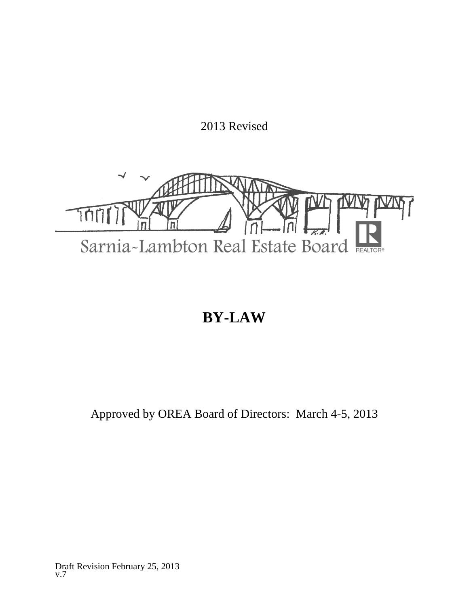2013 Revised



# **BY-LAW**

# Approved by OREA Board of Directors: March 4-5, 2013

Draft Revision February 25, 2013 v.7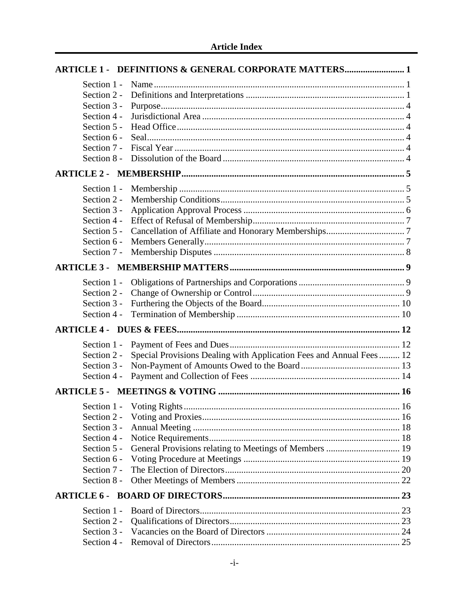| <b>ARTICLE 1 - DEFINITIONS &amp; GENERAL CORPORATE MATTERS 1</b>                   |  |
|------------------------------------------------------------------------------------|--|
| Section 1 -                                                                        |  |
| Section 2 -                                                                        |  |
| Section 3 -                                                                        |  |
| Section 4 -                                                                        |  |
| Section 5 -                                                                        |  |
| Section 6 -                                                                        |  |
| Section 7 -                                                                        |  |
| Section 8 -                                                                        |  |
|                                                                                    |  |
| Section 1 -                                                                        |  |
| Section 2 -                                                                        |  |
| Section 3 -                                                                        |  |
| Section 4 -                                                                        |  |
| Section 5 -                                                                        |  |
| Section 6 -                                                                        |  |
| Section 7 -                                                                        |  |
|                                                                                    |  |
| Section 1 -                                                                        |  |
| Section 2 -                                                                        |  |
| Section 3 -                                                                        |  |
| Section 4 -                                                                        |  |
|                                                                                    |  |
| Section 1 -                                                                        |  |
| Special Provisions Dealing with Application Fees and Annual Fees 12<br>Section 2 - |  |
| Section 3 -                                                                        |  |
| Section 4 -                                                                        |  |
|                                                                                    |  |
|                                                                                    |  |
| Section 2 -                                                                        |  |
| Section 3 -                                                                        |  |
| Section 4 -                                                                        |  |
| Section 5 -                                                                        |  |
| Section 6 -                                                                        |  |
| Section 7 -                                                                        |  |
| Section 8 -                                                                        |  |
|                                                                                    |  |
| Section 1 -                                                                        |  |
| Section 2 -                                                                        |  |
| Section 3 -                                                                        |  |
|                                                                                    |  |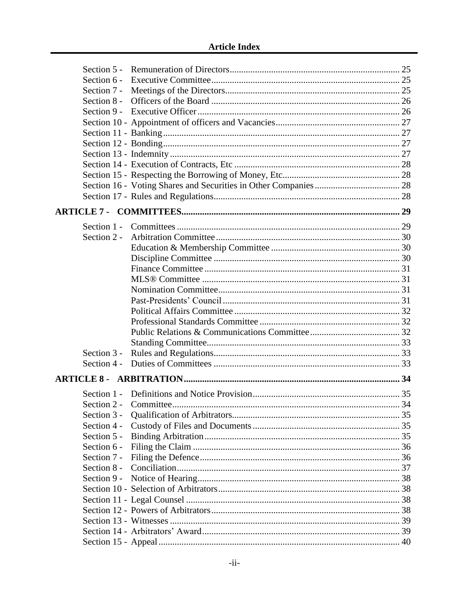| Section 7 -           |     |
|-----------------------|-----|
| Section 8 -           |     |
|                       |     |
|                       |     |
|                       |     |
|                       |     |
|                       |     |
|                       |     |
|                       |     |
|                       |     |
|                       |     |
|                       |     |
|                       |     |
| Section 2 -           |     |
|                       |     |
|                       |     |
|                       |     |
|                       |     |
|                       |     |
|                       |     |
|                       |     |
|                       |     |
|                       |     |
|                       |     |
| Section 3 -           |     |
| Section $4 -$         |     |
|                       |     |
|                       |     |
|                       |     |
| Section 2 - Committee | -34 |
| Section 3 -           |     |
| Section 4 -           |     |
| Section 5 -           |     |
| Section 6 -           |     |
| Section 7 -           |     |
| Section 8 -           |     |
| Section 9 -           |     |
|                       |     |
|                       |     |
|                       |     |
|                       |     |
|                       |     |
|                       |     |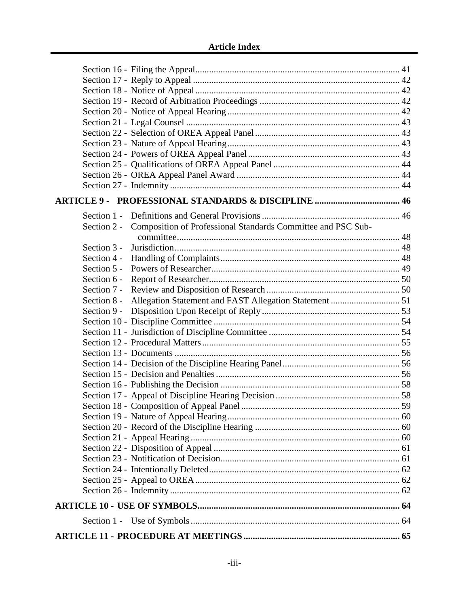|               | Section 2 - Composition of Professional Standards Committee and PSC Sub- |  |
|---------------|--------------------------------------------------------------------------|--|
|               |                                                                          |  |
| Section 3 -   |                                                                          |  |
| Section 4 -   |                                                                          |  |
| Section $5 -$ |                                                                          |  |
| Section 6 -   |                                                                          |  |
| Section 7 -   |                                                                          |  |
|               |                                                                          |  |
| Section 9 -   |                                                                          |  |
|               |                                                                          |  |
|               |                                                                          |  |
|               |                                                                          |  |
|               |                                                                          |  |
|               |                                                                          |  |
|               |                                                                          |  |
|               |                                                                          |  |
|               |                                                                          |  |
|               |                                                                          |  |
|               |                                                                          |  |
|               |                                                                          |  |
|               |                                                                          |  |
|               |                                                                          |  |
|               |                                                                          |  |
|               |                                                                          |  |
|               |                                                                          |  |
|               |                                                                          |  |
|               |                                                                          |  |
|               |                                                                          |  |
|               |                                                                          |  |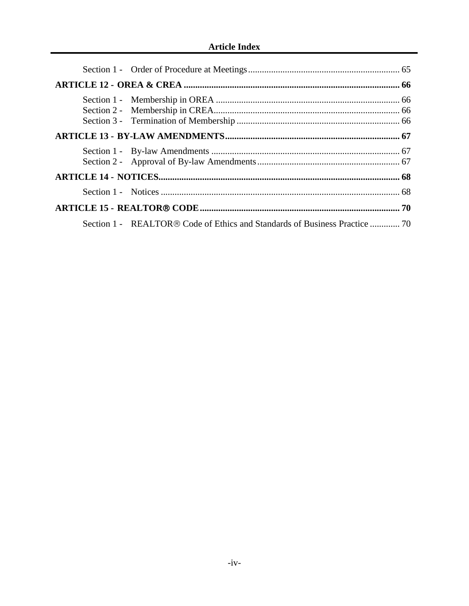| Section 1 - REALTOR® Code of Ethics and Standards of Business Practice  70 |  |
|----------------------------------------------------------------------------|--|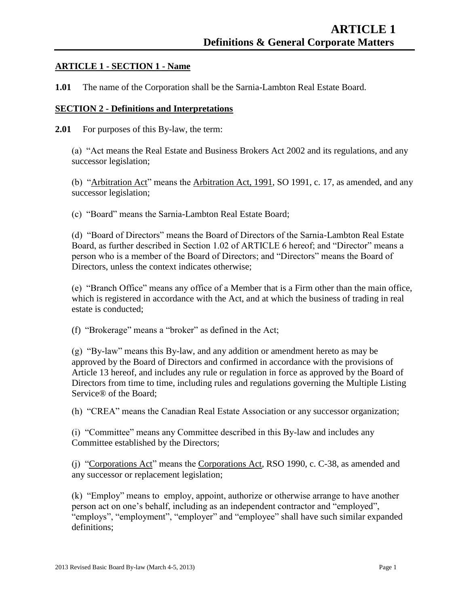#### **ARTICLE 1 - SECTION 1 - Name**

**1.01** The name of the Corporation shall be the Sarnia-Lambton Real Estate Board.

#### **SECTION 2 - Definitions and Interpretations**

**2.01** For purposes of this By-law, the term:

(a) "Act means the Real Estate and Business Brokers Act 2002 and its regulations, and any successor legislation;

(b) "Arbitration Act" means the Arbitration Act, 1991, SO 1991, c. 17, as amended, and any successor legislation;

(c) "Board" means the Sarnia-Lambton Real Estate Board;

(d) "Board of Directors" means the Board of Directors of the Sarnia-Lambton Real Estate Board, as further described in Section 1.02 of ARTICLE 6 hereof; and "Director" means a person who is a member of the Board of Directors; and "Directors" means the Board of Directors, unless the context indicates otherwise;

(e) "Branch Office" means any office of a Member that is a Firm other than the main office, which is registered in accordance with the Act, and at which the business of trading in real estate is conducted;

(f) "Brokerage" means a "broker" as defined in the Act;

(g) "By-law" means this By-law, and any addition or amendment hereto as may be approved by the Board of Directors and confirmed in accordance with the provisions of Article 13 hereof, and includes any rule or regulation in force as approved by the Board of Directors from time to time, including rules and regulations governing the Multiple Listing Service® of the Board;

(h) "CREA" means the Canadian Real Estate Association or any successor organization;

(i) "Committee" means any Committee described in this By-law and includes any Committee established by the Directors;

(j) "Corporations Act" means the Corporations Act, RSO 1990, c. C-38, as amended and any successor or replacement legislation;

(k) "Employ" means to employ, appoint, authorize or otherwise arrange to have another person act on one's behalf, including as an independent contractor and "employed", "employs", "employment", "employer" and "employee" shall have such similar expanded definitions;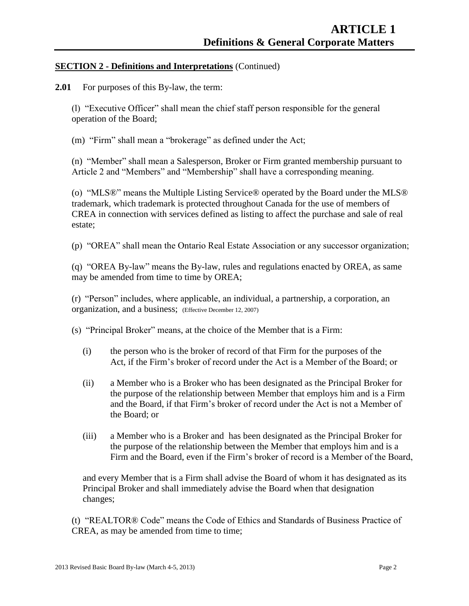#### **SECTION 2 - Definitions and Interpretations** (Continued)

**2.01** For purposes of this By-law, the term:

(l) "Executive Officer" shall mean the chief staff person responsible for the general operation of the Board;

(m) "Firm" shall mean a "brokerage" as defined under the Act;

(n) "Member" shall mean a Salesperson, Broker or Firm granted membership pursuant to Article 2 and "Members" and "Membership" shall have a corresponding meaning.

(o) "MLS®" means the Multiple Listing Service® operated by the Board under the MLS® trademark, which trademark is protected throughout Canada for the use of members of CREA in connection with services defined as listing to affect the purchase and sale of real estate;

(p) "OREA" shall mean the Ontario Real Estate Association or any successor organization;

(q) "OREA By-law" means the By-law, rules and regulations enacted by OREA, as same may be amended from time to time by OREA;

(r) "Person" includes, where applicable, an individual, a partnership, a corporation, an organization, and a business; (Effective December 12, 2007)

(s) "Principal Broker" means, at the choice of the Member that is a Firm:

- (i) the person who is the broker of record of that Firm for the purposes of the Act, if the Firm's broker of record under the Act is a Member of the Board; or
- (ii) a Member who is a Broker who has been designated as the Principal Broker for the purpose of the relationship between Member that employs him and is a Firm and the Board, if that Firm's broker of record under the Act is not a Member of the Board; or
- (iii) a Member who is a Broker and has been designated as the Principal Broker for the purpose of the relationship between the Member that employs him and is a Firm and the Board, even if the Firm's broker of record is a Member of the Board,

and every Member that is a Firm shall advise the Board of whom it has designated as its Principal Broker and shall immediately advise the Board when that designation changes;

(t) "REALTOR® Code" means the Code of Ethics and Standards of Business Practice of CREA, as may be amended from time to time;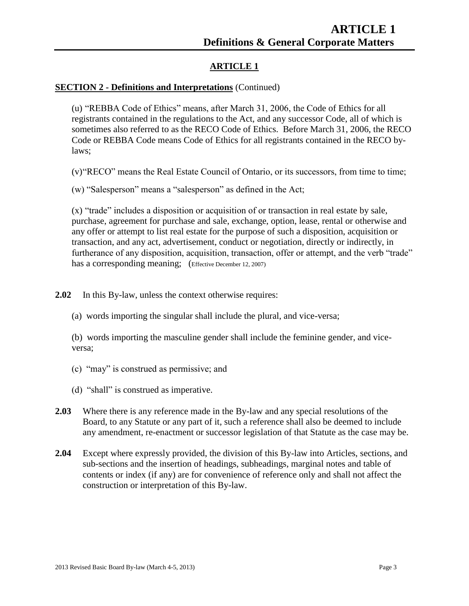# **ARTICLE 1**

#### **SECTION 2 - Definitions and Interpretations** (Continued)

(u) "REBBA Code of Ethics" means, after March 31, 2006, the Code of Ethics for all registrants contained in the regulations to the Act, and any successor Code, all of which is sometimes also referred to as the RECO Code of Ethics. Before March 31, 2006, the RECO Code or REBBA Code means Code of Ethics for all registrants contained in the RECO bylaws;

(v)"RECO" means the Real Estate Council of Ontario, or its successors, from time to time;

(w) "Salesperson" means a "salesperson" as defined in the Act;

(x) "trade" includes a disposition or acquisition of or transaction in real estate by sale, purchase, agreement for purchase and sale, exchange, option, lease, rental or otherwise and any offer or attempt to list real estate for the purpose of such a disposition, acquisition or transaction, and any act, advertisement, conduct or negotiation, directly or indirectly, in furtherance of any disposition, acquisition, transaction, offer or attempt, and the verb "trade" has a corresponding meaning; (Effective December 12, 2007)

**2.02** In this By-law, unless the context otherwise requires:

(a) words importing the singular shall include the plural, and vice-versa;

(b) words importing the masculine gender shall include the feminine gender, and viceversa;

- (c) "may" is construed as permissive; and
- (d) "shall" is construed as imperative.
- **2.03** Where there is any reference made in the By-law and any special resolutions of the Board, to any Statute or any part of it, such a reference shall also be deemed to include any amendment, re-enactment or successor legislation of that Statute as the case may be.
- **2.04** Except where expressly provided, the division of this By-law into Articles, sections, and sub-sections and the insertion of headings, subheadings, marginal notes and table of contents or index (if any) are for convenience of reference only and shall not affect the construction or interpretation of this By-law.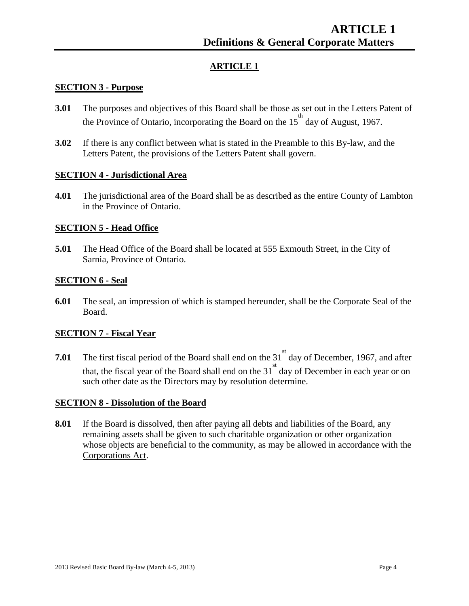# **ARTICLE 1**

#### **SECTION 3 - Purpose**

- **3.01** The purposes and objectives of this Board shall be those as set out in the Letters Patent of the Province of Ontario, incorporating the Board on the  $15<sup>th</sup>$  day of August, 1967.
- **3.02** If there is any conflict between what is stated in the Preamble to this By-law, and the Letters Patent, the provisions of the Letters Patent shall govern.

#### **SECTION 4 - Jurisdictional Area**

**4.01** The jurisdictional area of the Board shall be as described as the entire County of Lambton in the Province of Ontario.

#### **SECTION 5 - Head Office**

**5.01** The Head Office of the Board shall be located at 555 Exmouth Street, in the City of Sarnia, Province of Ontario.

#### **SECTION 6 - Seal**

**6.01** The seal, an impression of which is stamped hereunder, shall be the Corporate Seal of the Board.

#### **SECTION 7 - Fiscal Year**

**7.01** The first fiscal period of the Board shall end on the  $31<sup>st</sup>$  day of December, 1967, and after that, the fiscal year of the Board shall end on the  $31<sup>st</sup>$  day of December in each year or on such other date as the Directors may by resolution determine.

#### **SECTION 8 - Dissolution of the Board**

**8.01** If the Board is dissolved, then after paying all debts and liabilities of the Board, any remaining assets shall be given to such charitable organization or other organization whose objects are beneficial to the community, as may be allowed in accordance with the Corporations Act.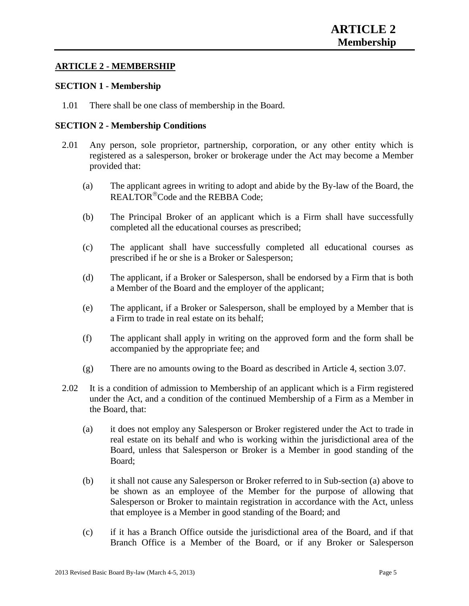#### **ARTICLE 2 - MEMBERSHIP**

#### **SECTION 1 - Membership**

1.01 There shall be one class of membership in the Board.

#### **SECTION 2 - Membership Conditions**

- 2.01 Any person, sole proprietor, partnership, corporation, or any other entity which is registered as a salesperson, broker or brokerage under the Act may become a Member provided that:
	- (a) The applicant agrees in writing to adopt and abide by the By-law of the Board, the REALTOR<sup>®</sup>Code and the REBBA Code:
	- (b) The Principal Broker of an applicant which is a Firm shall have successfully completed all the educational courses as prescribed;
	- (c) The applicant shall have successfully completed all educational courses as prescribed if he or she is a Broker or Salesperson;
	- (d) The applicant, if a Broker or Salesperson, shall be endorsed by a Firm that is both a Member of the Board and the employer of the applicant;
	- (e) The applicant, if a Broker or Salesperson, shall be employed by a Member that is a Firm to trade in real estate on its behalf;
	- (f) The applicant shall apply in writing on the approved form and the form shall be accompanied by the appropriate fee; and
	- (g) There are no amounts owing to the Board as described in Article 4, section 3.07.
- 2.02 It is a condition of admission to Membership of an applicant which is a Firm registered under the Act, and a condition of the continued Membership of a Firm as a Member in the Board, that:
	- (a) it does not employ any Salesperson or Broker registered under the Act to trade in real estate on its behalf and who is working within the jurisdictional area of the Board, unless that Salesperson or Broker is a Member in good standing of the Board;
	- (b) it shall not cause any Salesperson or Broker referred to in Sub-section (a) above to be shown as an employee of the Member for the purpose of allowing that Salesperson or Broker to maintain registration in accordance with the Act, unless that employee is a Member in good standing of the Board; and
	- (c) if it has a Branch Office outside the jurisdictional area of the Board, and if that Branch Office is a Member of the Board, or if any Broker or Salesperson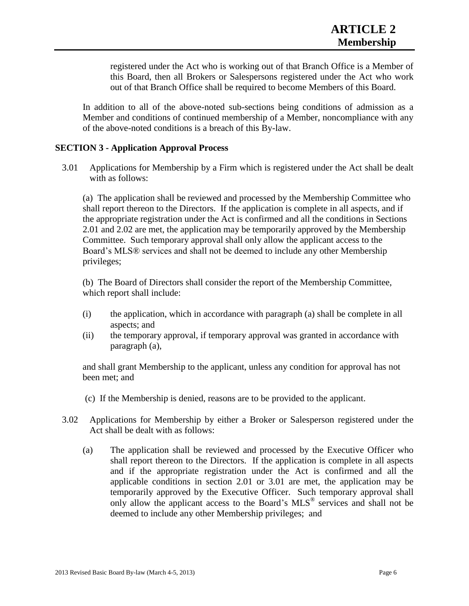registered under the Act who is working out of that Branch Office is a Member of this Board, then all Brokers or Salespersons registered under the Act who work out of that Branch Office shall be required to become Members of this Board.

In addition to all of the above-noted sub-sections being conditions of admission as a Member and conditions of continued membership of a Member, noncompliance with any of the above-noted conditions is a breach of this By-law.

#### **SECTION 3 - Application Approval Process**

3.01 Applications for Membership by a Firm which is registered under the Act shall be dealt with as follows:

(a) The application shall be reviewed and processed by the Membership Committee who shall report thereon to the Directors. If the application is complete in all aspects, and if the appropriate registration under the Act is confirmed and all the conditions in Sections 2.01 and 2.02 are met, the application may be temporarily approved by the Membership Committee. Such temporary approval shall only allow the applicant access to the Board's MLS® services and shall not be deemed to include any other Membership privileges;

(b) The Board of Directors shall consider the report of the Membership Committee, which report shall include:

- (i) the application, which in accordance with paragraph (a) shall be complete in all aspects; and
- (ii) the temporary approval, if temporary approval was granted in accordance with paragraph (a),

and shall grant Membership to the applicant, unless any condition for approval has not been met; and

- (c) If the Membership is denied, reasons are to be provided to the applicant.
- 3.02 Applications for Membership by either a Broker or Salesperson registered under the Act shall be dealt with as follows:
	- (a) The application shall be reviewed and processed by the Executive Officer who shall report thereon to the Directors. If the application is complete in all aspects and if the appropriate registration under the Act is confirmed and all the applicable conditions in section 2.01 or 3.01 are met, the application may be temporarily approved by the Executive Officer. Such temporary approval shall only allow the applicant access to the Board's MLS® services and shall not be deemed to include any other Membership privileges; and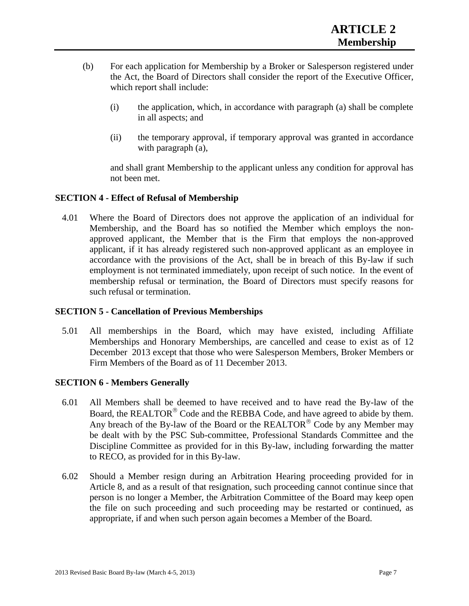- (b) For each application for Membership by a Broker or Salesperson registered under the Act, the Board of Directors shall consider the report of the Executive Officer, which report shall include:
	- (i) the application, which, in accordance with paragraph (a) shall be complete in all aspects; and
	- (ii) the temporary approval, if temporary approval was granted in accordance with paragraph (a),

and shall grant Membership to the applicant unless any condition for approval has not been met.

#### **SECTION 4 - Effect of Refusal of Membership**

4.01 Where the Board of Directors does not approve the application of an individual for Membership, and the Board has so notified the Member which employs the nonapproved applicant, the Member that is the Firm that employs the non-approved applicant, if it has already registered such non-approved applicant as an employee in accordance with the provisions of the Act, shall be in breach of this By-law if such employment is not terminated immediately, upon receipt of such notice. In the event of membership refusal or termination, the Board of Directors must specify reasons for such refusal or termination.

#### **SECTION 5 - Cancellation of Previous Memberships**

5.01 All memberships in the Board, which may have existed, including Affiliate Memberships and Honorary Memberships, are cancelled and cease to exist as of 12 December 2013 except that those who were Salesperson Members, Broker Members or Firm Members of the Board as of 11 December 2013.

#### **SECTION 6 - Members Generally**

- 6.01 All Members shall be deemed to have received and to have read the By-law of the Board, the REALTOR<sup>®</sup> Code and the REBBA Code, and have agreed to abide by them. Any breach of the By-law of the Board or the REALTOR<sup>®</sup> Code by any Member may be dealt with by the PSC Sub-committee, Professional Standards Committee and the Discipline Committee as provided for in this By-law, including forwarding the matter to RECO, as provided for in this By-law.
- 6.02 Should a Member resign during an Arbitration Hearing proceeding provided for in Article 8, and as a result of that resignation, such proceeding cannot continue since that person is no longer a Member, the Arbitration Committee of the Board may keep open the file on such proceeding and such proceeding may be restarted or continued, as appropriate, if and when such person again becomes a Member of the Board.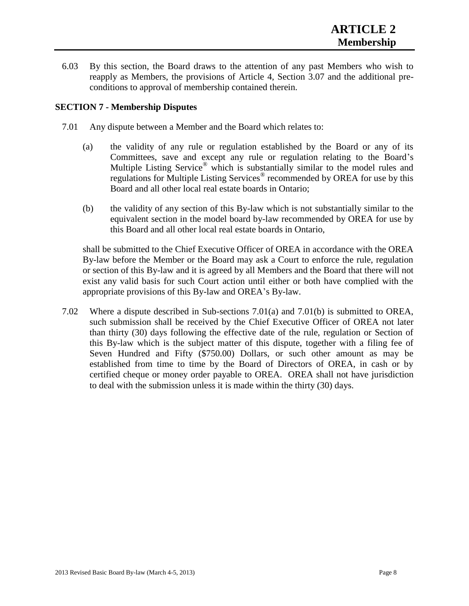6.03 By this section, the Board draws to the attention of any past Members who wish to reapply as Members, the provisions of Article 4, Section 3.07 and the additional preconditions to approval of membership contained therein.

#### **SECTION 7 - Membership Disputes**

- 7.01 Any dispute between a Member and the Board which relates to:
	- (a) the validity of any rule or regulation established by the Board or any of its Committees, save and except any rule or regulation relating to the Board's Multiple Listing Service<sup>®</sup> which is substantially similar to the model rules and regulations for Multiple Listing Services® recommended by OREA for use by this Board and all other local real estate boards in Ontario;
	- (b) the validity of any section of this By-law which is not substantially similar to the equivalent section in the model board by-law recommended by OREA for use by this Board and all other local real estate boards in Ontario,

shall be submitted to the Chief Executive Officer of OREA in accordance with the OREA By-law before the Member or the Board may ask a Court to enforce the rule, regulation or section of this By-law and it is agreed by all Members and the Board that there will not exist any valid basis for such Court action until either or both have complied with the appropriate provisions of this By-law and OREA's By-law.

7.02 Where a dispute described in Sub-sections 7.01(a) and 7.01(b) is submitted to OREA, such submission shall be received by the Chief Executive Officer of OREA not later than thirty (30) days following the effective date of the rule, regulation or Section of this By-law which is the subject matter of this dispute, together with a filing fee of Seven Hundred and Fifty (\$750.00) Dollars, or such other amount as may be established from time to time by the Board of Directors of OREA, in cash or by certified cheque or money order payable to OREA. OREA shall not have jurisdiction to deal with the submission unless it is made within the thirty (30) days.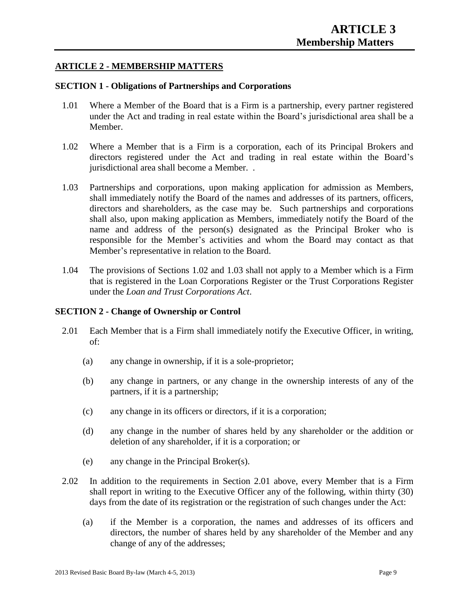#### **ARTICLE 2 - MEMBERSHIP MATTERS**

#### **SECTION 1 - Obligations of Partnerships and Corporations**

- 1.01 Where a Member of the Board that is a Firm is a partnership, every partner registered under the Act and trading in real estate within the Board's jurisdictional area shall be a Member.
- 1.02 Where a Member that is a Firm is a corporation, each of its Principal Brokers and directors registered under the Act and trading in real estate within the Board's jurisdictional area shall become a Member. .
- 1.03 Partnerships and corporations, upon making application for admission as Members, shall immediately notify the Board of the names and addresses of its partners, officers, directors and shareholders, as the case may be. Such partnerships and corporations shall also, upon making application as Members, immediately notify the Board of the name and address of the person(s) designated as the Principal Broker who is responsible for the Member's activities and whom the Board may contact as that Member's representative in relation to the Board.
- 1.04 The provisions of Sections 1.02 and 1.03 shall not apply to a Member which is a Firm that is registered in the Loan Corporations Register or the Trust Corporations Register under the *Loan and Trust Corporations Act*.

#### **SECTION 2 - Change of Ownership or Control**

- 2.01 Each Member that is a Firm shall immediately notify the Executive Officer, in writing, of:
	- (a) any change in ownership, if it is a sole-proprietor;
	- (b) any change in partners, or any change in the ownership interests of any of the partners, if it is a partnership;
	- (c) any change in its officers or directors, if it is a corporation;
	- (d) any change in the number of shares held by any shareholder or the addition or deletion of any shareholder, if it is a corporation; or
	- (e) any change in the Principal Broker(s).
- 2.02 In addition to the requirements in Section 2.01 above, every Member that is a Firm shall report in writing to the Executive Officer any of the following, within thirty (30) days from the date of its registration or the registration of such changes under the Act:
	- (a) if the Member is a corporation, the names and addresses of its officers and directors, the number of shares held by any shareholder of the Member and any change of any of the addresses;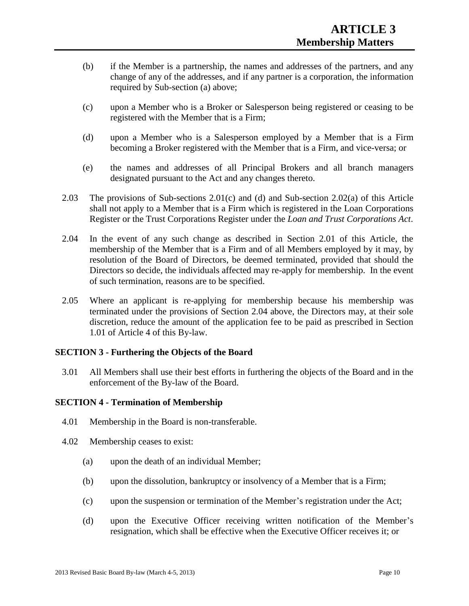- (b) if the Member is a partnership, the names and addresses of the partners, and any change of any of the addresses, and if any partner is a corporation, the information required by Sub-section (a) above;
- (c) upon a Member who is a Broker or Salesperson being registered or ceasing to be registered with the Member that is a Firm;
- (d) upon a Member who is a Salesperson employed by a Member that is a Firm becoming a Broker registered with the Member that is a Firm, and vice-versa; or
- (e) the names and addresses of all Principal Brokers and all branch managers designated pursuant to the Act and any changes thereto.
- 2.03 The provisions of Sub-sections 2.01(c) and (d) and Sub-section 2.02(a) of this Article shall not apply to a Member that is a Firm which is registered in the Loan Corporations Register or the Trust Corporations Register under the *Loan and Trust Corporations Act*.
- 2.04 In the event of any such change as described in Section 2.01 of this Article, the membership of the Member that is a Firm and of all Members employed by it may, by resolution of the Board of Directors, be deemed terminated, provided that should the Directors so decide, the individuals affected may re-apply for membership. In the event of such termination, reasons are to be specified.
- 2.05 Where an applicant is re-applying for membership because his membership was terminated under the provisions of Section 2.04 above, the Directors may, at their sole discretion, reduce the amount of the application fee to be paid as prescribed in Section 1.01 of Article 4 of this By-law.

#### **SECTION 3 - Furthering the Objects of the Board**

3.01 All Members shall use their best efforts in furthering the objects of the Board and in the enforcement of the By-law of the Board.

#### **SECTION 4 - Termination of Membership**

- 4.01 Membership in the Board is non-transferable.
- 4.02 Membership ceases to exist:
	- (a) upon the death of an individual Member;
	- (b) upon the dissolution, bankruptcy or insolvency of a Member that is a Firm;
	- (c) upon the suspension or termination of the Member's registration under the Act;
	- (d) upon the Executive Officer receiving written notification of the Member's resignation, which shall be effective when the Executive Officer receives it; or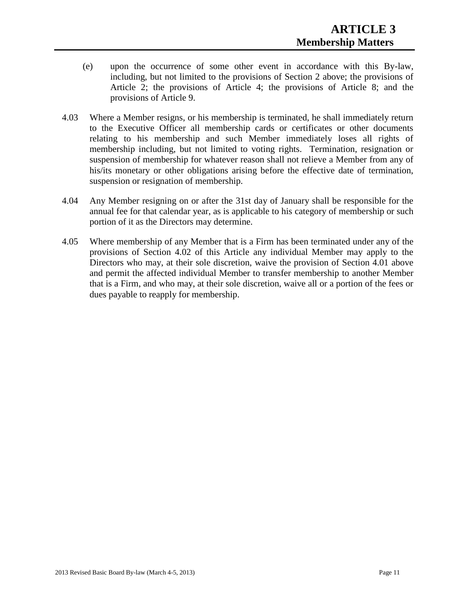- (e) upon the occurrence of some other event in accordance with this By-law, including, but not limited to the provisions of Section 2 above; the provisions of Article 2; the provisions of Article 4; the provisions of Article 8; and the provisions of Article 9.
- 4.03 Where a Member resigns, or his membership is terminated, he shall immediately return to the Executive Officer all membership cards or certificates or other documents relating to his membership and such Member immediately loses all rights of membership including, but not limited to voting rights. Termination, resignation or suspension of membership for whatever reason shall not relieve a Member from any of his/its monetary or other obligations arising before the effective date of termination, suspension or resignation of membership.
- 4.04 Any Member resigning on or after the 31st day of January shall be responsible for the annual fee for that calendar year, as is applicable to his category of membership or such portion of it as the Directors may determine.
- 4.05 Where membership of any Member that is a Firm has been terminated under any of the provisions of Section 4.02 of this Article any individual Member may apply to the Directors who may, at their sole discretion, waive the provision of Section 4.01 above and permit the affected individual Member to transfer membership to another Member that is a Firm, and who may, at their sole discretion, waive all or a portion of the fees or dues payable to reapply for membership.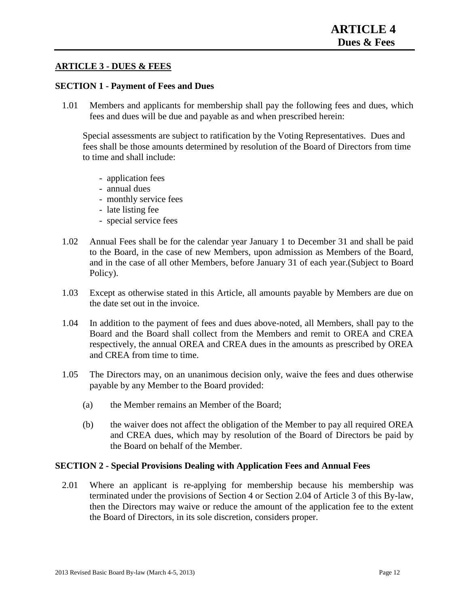#### **ARTICLE 3 - DUES & FEES**

#### **SECTION 1 - Payment of Fees and Dues**

1.01 Members and applicants for membership shall pay the following fees and dues, which fees and dues will be due and payable as and when prescribed herein:

Special assessments are subject to ratification by the Voting Representatives. Dues and fees shall be those amounts determined by resolution of the Board of Directors from time to time and shall include:

- application fees
- annual dues
- monthly service fees
- late listing fee
- special service fees
- 1.02 Annual Fees shall be for the calendar year January 1 to December 31 and shall be paid to the Board, in the case of new Members, upon admission as Members of the Board, and in the case of all other Members, before January 31 of each year.(Subject to Board Policy).
- 1.03 Except as otherwise stated in this Article, all amounts payable by Members are due on the date set out in the invoice.
- 1.04 In addition to the payment of fees and dues above-noted, all Members, shall pay to the Board and the Board shall collect from the Members and remit to OREA and CREA respectively, the annual OREA and CREA dues in the amounts as prescribed by OREA and CREA from time to time.
- 1.05 The Directors may, on an unanimous decision only, waive the fees and dues otherwise payable by any Member to the Board provided:
	- (a) the Member remains an Member of the Board;
	- (b) the waiver does not affect the obligation of the Member to pay all required OREA and CREA dues, which may by resolution of the Board of Directors be paid by the Board on behalf of the Member.

#### **SECTION 2 - Special Provisions Dealing with Application Fees and Annual Fees**

2.01 Where an applicant is re-applying for membership because his membership was terminated under the provisions of Section 4 or Section 2.04 of Article 3 of this By-law, then the Directors may waive or reduce the amount of the application fee to the extent the Board of Directors, in its sole discretion, considers proper.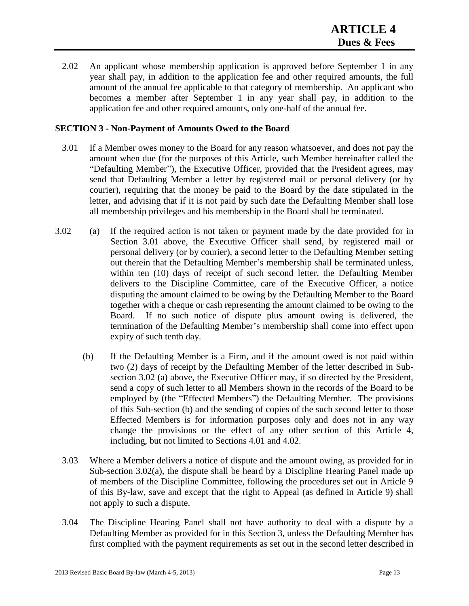2.02 An applicant whose membership application is approved before September 1 in any year shall pay, in addition to the application fee and other required amounts, the full amount of the annual fee applicable to that category of membership. An applicant who becomes a member after September 1 in any year shall pay, in addition to the application fee and other required amounts, only one-half of the annual fee.

#### **SECTION 3 - Non-Payment of Amounts Owed to the Board**

- 3.01 If a Member owes money to the Board for any reason whatsoever, and does not pay the amount when due (for the purposes of this Article, such Member hereinafter called the "Defaulting Member"), the Executive Officer, provided that the President agrees, may send that Defaulting Member a letter by registered mail or personal delivery (or by courier), requiring that the money be paid to the Board by the date stipulated in the letter, and advising that if it is not paid by such date the Defaulting Member shall lose all membership privileges and his membership in the Board shall be terminated.
- 3.02 (a) If the required action is not taken or payment made by the date provided for in Section 3.01 above, the Executive Officer shall send, by registered mail or personal delivery (or by courier), a second letter to the Defaulting Member setting out therein that the Defaulting Member's membership shall be terminated unless, within ten (10) days of receipt of such second letter, the Defaulting Member delivers to the Discipline Committee, care of the Executive Officer, a notice disputing the amount claimed to be owing by the Defaulting Member to the Board together with a cheque or cash representing the amount claimed to be owing to the Board. If no such notice of dispute plus amount owing is delivered, the termination of the Defaulting Member's membership shall come into effect upon expiry of such tenth day.
	- (b) If the Defaulting Member is a Firm, and if the amount owed is not paid within two (2) days of receipt by the Defaulting Member of the letter described in Subsection 3.02 (a) above, the Executive Officer may, if so directed by the President, send a copy of such letter to all Members shown in the records of the Board to be employed by (the "Effected Members") the Defaulting Member. The provisions of this Sub-section (b) and the sending of copies of the such second letter to those Effected Members is for information purposes only and does not in any way change the provisions or the effect of any other section of this Article 4, including, but not limited to Sections 4.01 and 4.02.
	- 3.03 Where a Member delivers a notice of dispute and the amount owing, as provided for in Sub-section 3.02(a), the dispute shall be heard by a Discipline Hearing Panel made up of members of the Discipline Committee, following the procedures set out in Article 9 of this By-law, save and except that the right to Appeal (as defined in Article 9) shall not apply to such a dispute.
	- 3.04 The Discipline Hearing Panel shall not have authority to deal with a dispute by a Defaulting Member as provided for in this Section 3, unless the Defaulting Member has first complied with the payment requirements as set out in the second letter described in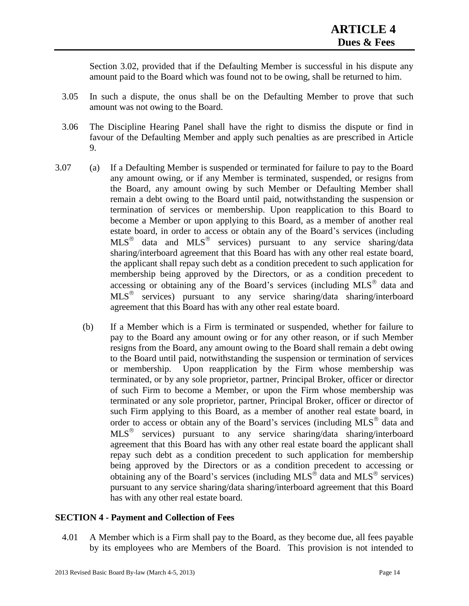Section 3.02, provided that if the Defaulting Member is successful in his dispute any amount paid to the Board which was found not to be owing, shall be returned to him.

- 3.05 In such a dispute, the onus shall be on the Defaulting Member to prove that such amount was not owing to the Board.
- 3.06 The Discipline Hearing Panel shall have the right to dismiss the dispute or find in favour of the Defaulting Member and apply such penalties as are prescribed in Article 9.
- 3.07 (a) If a Defaulting Member is suspended or terminated for failure to pay to the Board any amount owing, or if any Member is terminated, suspended, or resigns from the Board, any amount owing by such Member or Defaulting Member shall remain a debt owing to the Board until paid, notwithstanding the suspension or termination of services or membership. Upon reapplication to this Board to become a Member or upon applying to this Board, as a member of another real estate board, in order to access or obtain any of the Board's services (including  $MLS^{\circledR}$  data and  $MLS^{\circledR}$  services) pursuant to any service sharing/data sharing/interboard agreement that this Board has with any other real estate board, the applicant shall repay such debt as a condition precedent to such application for membership being approved by the Directors, or as a condition precedent to accessing or obtaining any of the Board's services (including  $MLS^{\circledast}$  data and MLS<sup>®</sup> services) pursuant to any service sharing/data sharing/interboard agreement that this Board has with any other real estate board.
	- (b) If a Member which is a Firm is terminated or suspended, whether for failure to pay to the Board any amount owing or for any other reason, or if such Member resigns from the Board, any amount owing to the Board shall remain a debt owing to the Board until paid, notwithstanding the suspension or termination of services or membership. Upon reapplication by the Firm whose membership was terminated, or by any sole proprietor, partner, Principal Broker, officer or director of such Firm to become a Member, or upon the Firm whose membership was terminated or any sole proprietor, partner, Principal Broker, officer or director of such Firm applying to this Board, as a member of another real estate board, in order to access or obtain any of the Board's services (including MLS<sup>®</sup> data and MLS<sup>®</sup> services) pursuant to any service sharing/data sharing/interboard agreement that this Board has with any other real estate board the applicant shall repay such debt as a condition precedent to such application for membership being approved by the Directors or as a condition precedent to accessing or obtaining any of the Board's services (including MLS<sup>®</sup> data and MLS<sup>®</sup> services) pursuant to any service sharing/data sharing/interboard agreement that this Board has with any other real estate board.

#### **SECTION 4 - Payment and Collection of Fees**

4.01 A Member which is a Firm shall pay to the Board, as they become due, all fees payable by its employees who are Members of the Board. This provision is not intended to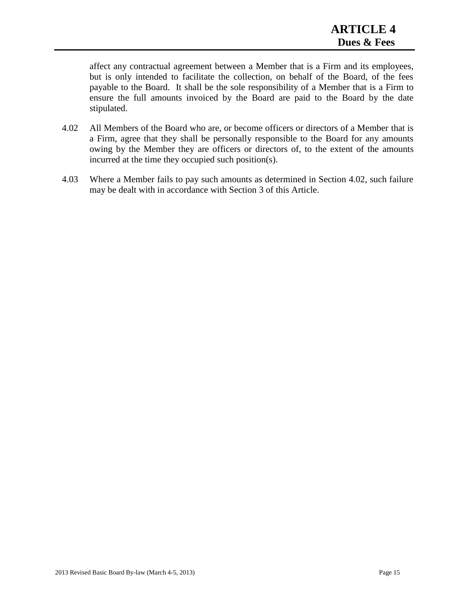affect any contractual agreement between a Member that is a Firm and its employees, but is only intended to facilitate the collection, on behalf of the Board, of the fees payable to the Board. It shall be the sole responsibility of a Member that is a Firm to ensure the full amounts invoiced by the Board are paid to the Board by the date stipulated.

- 4.02 All Members of the Board who are, or become officers or directors of a Member that is a Firm, agree that they shall be personally responsible to the Board for any amounts owing by the Member they are officers or directors of, to the extent of the amounts incurred at the time they occupied such position(s).
- 4.03 Where a Member fails to pay such amounts as determined in Section 4.02, such failure may be dealt with in accordance with Section 3 of this Article.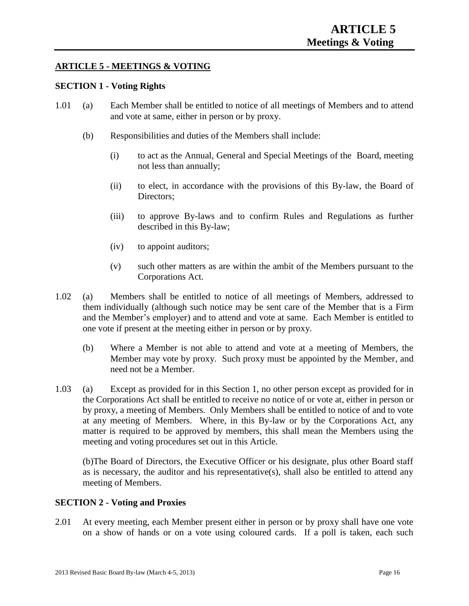#### **ARTICLE 5 - MEETINGS & VOTING**

#### **SECTION 1 - Voting Rights**

- 1.01 (a) Each Member shall be entitled to notice of all meetings of Members and to attend and vote at same, either in person or by proxy.
	- (b) Responsibilities and duties of the Members shall include:
		- (i) to act as the Annual, General and Special Meetings of the Board, meeting not less than annually;
		- (ii) to elect, in accordance with the provisions of this By-law, the Board of Directors;
		- (iii) to approve By-laws and to confirm Rules and Regulations as further described in this By-law;
		- (iv) to appoint auditors;
		- (v) such other matters as are within the ambit of the Members pursuant to the Corporations Act.
- 1.02 (a) Members shall be entitled to notice of all meetings of Members, addressed to them individually (although such notice may be sent care of the Member that is a Firm and the Member's employer) and to attend and vote at same. Each Member is entitled to one vote if present at the meeting either in person or by proxy.
	- (b) Where a Member is not able to attend and vote at a meeting of Members, the Member may vote by proxy. Such proxy must be appointed by the Member, and need not be a Member.
- 1.03 (a) Except as provided for in this Section 1, no other person except as provided for in the Corporations Act shall be entitled to receive no notice of or vote at, either in person or by proxy, a meeting of Members. Only Members shall be entitled to notice of and to vote at any meeting of Members. Where, in this By-law or by the Corporations Act, any matter is required to be approved by members, this shall mean the Members using the meeting and voting procedures set out in this Article.

(b)The Board of Directors, the Executive Officer or his designate, plus other Board staff as is necessary, the auditor and his representative(s), shall also be entitled to attend any meeting of Members.

#### **SECTION 2 - Voting and Proxies**

2.01 At every meeting, each Member present either in person or by proxy shall have one vote on a show of hands or on a vote using coloured cards. If a poll is taken, each such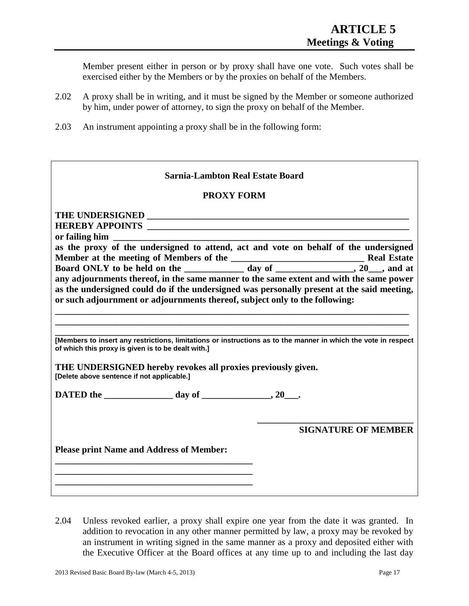Member present either in person or by proxy shall have one vote. Such votes shall be exercised either by the Members or by the proxies on behalf of the Members.

- 2.02 A proxy shall be in writing, and it must be signed by the Member or someone authorized by him, under power of attorney, to sign the proxy on behalf of the Member.
- 2.03 An instrument appointing a proxy shall be in the following form:

| Sarnia-Lambton Real Estate Board                                                                                                                                                                                                                                                                                                                             |                            |  |  |  |
|--------------------------------------------------------------------------------------------------------------------------------------------------------------------------------------------------------------------------------------------------------------------------------------------------------------------------------------------------------------|----------------------------|--|--|--|
| <b>PROXY FORM</b>                                                                                                                                                                                                                                                                                                                                            |                            |  |  |  |
| as the proxy of the undersigned to attend, act and vote on behalf of the undersigned<br>any adjournments thereof, in the same manner to the same extent and with the same power<br>as the undersigned could do if the undersigned was personally present at the said meeting,<br>or such adjournment or adjournments thereof, subject only to the following: |                            |  |  |  |
| [Members to insert any restrictions, limitations or instructions as to the manner in which the vote in respect<br>of which this proxy is given is to be dealt with.]<br>THE UNDERSIGNED hereby revokes all proxies previously given.<br>[Delete above sentence if not applicable.]                                                                           |                            |  |  |  |
| <b>Please print Name and Address of Member:</b>                                                                                                                                                                                                                                                                                                              | <b>SIGNATURE OF MEMBER</b> |  |  |  |

2.04 Unless revoked earlier, a proxy shall expire one year from the date it was granted. In addition to revocation in any other manner permitted by law, a proxy may be revoked by an instrument in writing signed in the same manner as a proxy and deposited either with the Executive Officer at the Board offices at any time up to and including the last day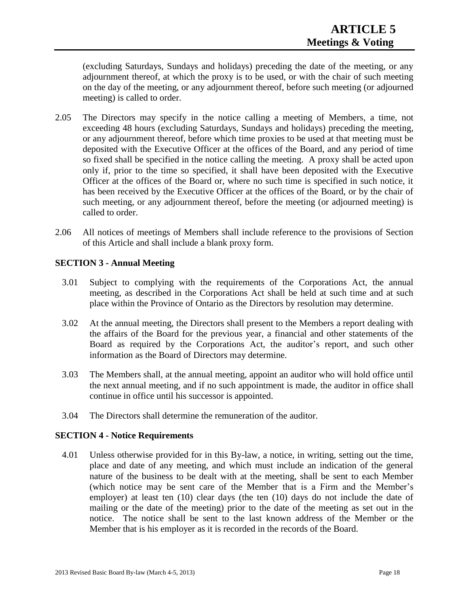(excluding Saturdays, Sundays and holidays) preceding the date of the meeting, or any adjournment thereof, at which the proxy is to be used, or with the chair of such meeting on the day of the meeting, or any adjournment thereof, before such meeting (or adjourned meeting) is called to order.

- 2.05 The Directors may specify in the notice calling a meeting of Members, a time, not exceeding 48 hours (excluding Saturdays, Sundays and holidays) preceding the meeting, or any adjournment thereof, before which time proxies to be used at that meeting must be deposited with the Executive Officer at the offices of the Board, and any period of time so fixed shall be specified in the notice calling the meeting. A proxy shall be acted upon only if, prior to the time so specified, it shall have been deposited with the Executive Officer at the offices of the Board or, where no such time is specified in such notice, it has been received by the Executive Officer at the offices of the Board, or by the chair of such meeting, or any adjournment thereof, before the meeting (or adjourned meeting) is called to order.
- 2.06 All notices of meetings of Members shall include reference to the provisions of Section of this Article and shall include a blank proxy form.

#### **SECTION 3 - Annual Meeting**

- 3.01 Subject to complying with the requirements of the Corporations Act, the annual meeting, as described in the Corporations Act shall be held at such time and at such place within the Province of Ontario as the Directors by resolution may determine.
- 3.02 At the annual meeting, the Directors shall present to the Members a report dealing with the affairs of the Board for the previous year, a financial and other statements of the Board as required by the Corporations Act, the auditor's report, and such other information as the Board of Directors may determine.
- 3.03 The Members shall, at the annual meeting, appoint an auditor who will hold office until the next annual meeting, and if no such appointment is made, the auditor in office shall continue in office until his successor is appointed.
- 3.04 The Directors shall determine the remuneration of the auditor.

#### **SECTION 4 - Notice Requirements**

4.01 Unless otherwise provided for in this By-law, a notice, in writing, setting out the time, place and date of any meeting, and which must include an indication of the general nature of the business to be dealt with at the meeting, shall be sent to each Member (which notice may be sent care of the Member that is a Firm and the Member's employer) at least ten (10) clear days (the ten (10) days do not include the date of mailing or the date of the meeting) prior to the date of the meeting as set out in the notice. The notice shall be sent to the last known address of the Member or the Member that is his employer as it is recorded in the records of the Board.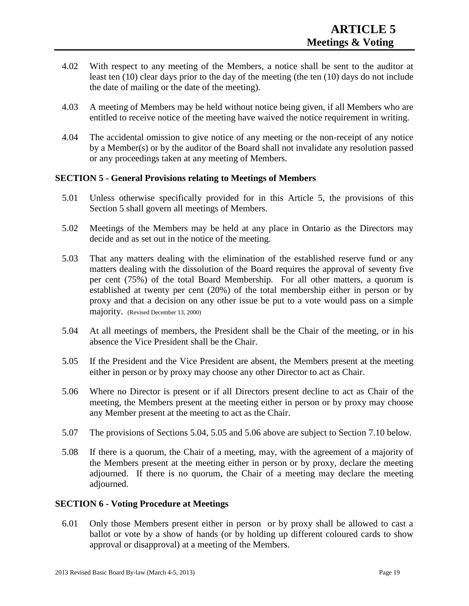- 4.02 With respect to any meeting of the Members, a notice shall be sent to the auditor at least ten (10) clear days prior to the day of the meeting (the ten (10) days do not include the date of mailing or the date of the meeting).
- 4.03 A meeting of Members may be held without notice being given, if all Members who are entitled to receive notice of the meeting have waived the notice requirement in writing.
- 4.04 The accidental omission to give notice of any meeting or the non-receipt of any notice by a Member(s) or by the auditor of the Board shall not invalidate any resolution passed or any proceedings taken at any meeting of Members.

#### **SECTION 5 - General Provisions relating to Meetings of Members**

- 5.01 Unless otherwise specifically provided for in this Article 5, the provisions of this Section 5 shall govern all meetings of Members.
- 5.02 Meetings of the Members may be held at any place in Ontario as the Directors may decide and as set out in the notice of the meeting.
- 5.03 That any matters dealing with the elimination of the established reserve fund or any matters dealing with the dissolution of the Board requires the approval of seventy five per cent (75%) of the total Board Membership. For all other matters, a quorum is established at twenty per cent (20%) of the total membership either in person or by proxy and that a decision on any other issue be put to a vote would pass on a simple majority. (Revised December 13, 2000)
- 5.04 At all meetings of members, the President shall be the Chair of the meeting, or in his absence the Vice President shall be the Chair.
- 5.05 If the President and the Vice President are absent, the Members present at the meeting either in person or by proxy may choose any other Director to act as Chair.
- 5.06 Where no Director is present or if all Directors present decline to act as Chair of the meeting, the Members present at the meeting either in person or by proxy may choose any Member present at the meeting to act as the Chair.
- 5.07 The provisions of Sections 5.04, 5.05 and 5.06 above are subject to Section 7.10 below.
- 5.08 If there is a quorum, the Chair of a meeting, may, with the agreement of a majority of the Members present at the meeting either in person or by proxy, declare the meeting adjourned. If there is no quorum, the Chair of a meeting may declare the meeting adjourned.

#### **SECTION 6 - Voting Procedure at Meetings**

6.01 Only those Members present either in person or by proxy shall be allowed to cast a ballot or vote by a show of hands (or by holding up different coloured cards to show approval or disapproval) at a meeting of the Members.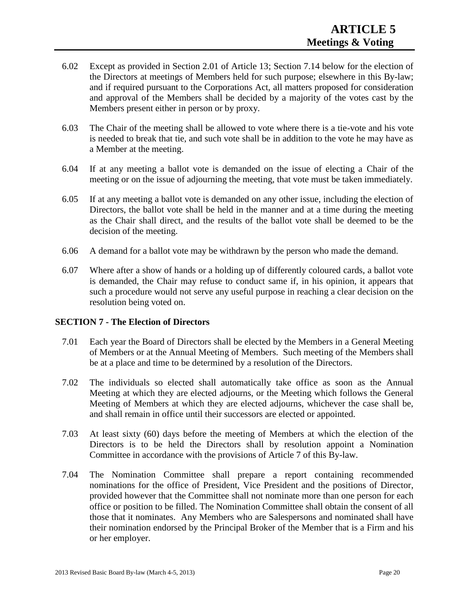- 6.02 Except as provided in Section 2.01 of Article 13; Section 7.14 below for the election of the Directors at meetings of Members held for such purpose; elsewhere in this By-law; and if required pursuant to the Corporations Act, all matters proposed for consideration and approval of the Members shall be decided by a majority of the votes cast by the Members present either in person or by proxy.
- 6.03 The Chair of the meeting shall be allowed to vote where there is a tie-vote and his vote is needed to break that tie, and such vote shall be in addition to the vote he may have as a Member at the meeting.
- 6.04 If at any meeting a ballot vote is demanded on the issue of electing a Chair of the meeting or on the issue of adjourning the meeting, that vote must be taken immediately.
- 6.05 If at any meeting a ballot vote is demanded on any other issue, including the election of Directors, the ballot vote shall be held in the manner and at a time during the meeting as the Chair shall direct, and the results of the ballot vote shall be deemed to be the decision of the meeting.
- 6.06 A demand for a ballot vote may be withdrawn by the person who made the demand.
- 6.07 Where after a show of hands or a holding up of differently coloured cards, a ballot vote is demanded, the Chair may refuse to conduct same if, in his opinion, it appears that such a procedure would not serve any useful purpose in reaching a clear decision on the resolution being voted on.

#### **SECTION 7 - The Election of Directors**

- 7.01 Each year the Board of Directors shall be elected by the Members in a General Meeting of Members or at the Annual Meeting of Members. Such meeting of the Members shall be at a place and time to be determined by a resolution of the Directors.
- 7.02 The individuals so elected shall automatically take office as soon as the Annual Meeting at which they are elected adjourns, or the Meeting which follows the General Meeting of Members at which they are elected adjourns, whichever the case shall be, and shall remain in office until their successors are elected or appointed.
- 7.03 At least sixty (60) days before the meeting of Members at which the election of the Directors is to be held the Directors shall by resolution appoint a Nomination Committee in accordance with the provisions of Article 7 of this By-law.
- 7.04 The Nomination Committee shall prepare a report containing recommended nominations for the office of President, Vice President and the positions of Director, provided however that the Committee shall not nominate more than one person for each office or position to be filled. The Nomination Committee shall obtain the consent of all those that it nominates. Any Members who are Salespersons and nominated shall have their nomination endorsed by the Principal Broker of the Member that is a Firm and his or her employer.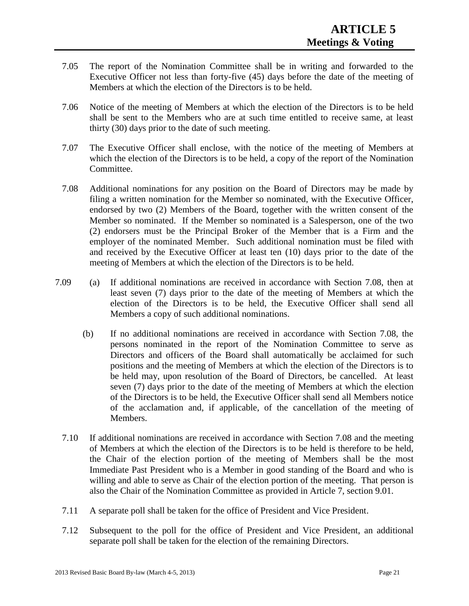- 7.05 The report of the Nomination Committee shall be in writing and forwarded to the Executive Officer not less than forty-five (45) days before the date of the meeting of Members at which the election of the Directors is to be held.
- 7.06 Notice of the meeting of Members at which the election of the Directors is to be held shall be sent to the Members who are at such time entitled to receive same, at least thirty (30) days prior to the date of such meeting.
- 7.07 The Executive Officer shall enclose, with the notice of the meeting of Members at which the election of the Directors is to be held, a copy of the report of the Nomination Committee.
- 7.08 Additional nominations for any position on the Board of Directors may be made by filing a written nomination for the Member so nominated, with the Executive Officer, endorsed by two (2) Members of the Board, together with the written consent of the Member so nominated. If the Member so nominated is a Salesperson, one of the two (2) endorsers must be the Principal Broker of the Member that is a Firm and the employer of the nominated Member. Such additional nomination must be filed with and received by the Executive Officer at least ten (10) days prior to the date of the meeting of Members at which the election of the Directors is to be held.
- 7.09 (a) If additional nominations are received in accordance with Section 7.08, then at least seven (7) days prior to the date of the meeting of Members at which the election of the Directors is to be held, the Executive Officer shall send all Members a copy of such additional nominations.
	- (b) If no additional nominations are received in accordance with Section 7.08, the persons nominated in the report of the Nomination Committee to serve as Directors and officers of the Board shall automatically be acclaimed for such positions and the meeting of Members at which the election of the Directors is to be held may, upon resolution of the Board of Directors, be cancelled. At least seven (7) days prior to the date of the meeting of Members at which the election of the Directors is to be held, the Executive Officer shall send all Members notice of the acclamation and, if applicable, of the cancellation of the meeting of Members.
	- 7.10 If additional nominations are received in accordance with Section 7.08 and the meeting of Members at which the election of the Directors is to be held is therefore to be held, the Chair of the election portion of the meeting of Members shall be the most Immediate Past President who is a Member in good standing of the Board and who is willing and able to serve as Chair of the election portion of the meeting. That person is also the Chair of the Nomination Committee as provided in Article 7, section 9.01.
	- 7.11 A separate poll shall be taken for the office of President and Vice President.
	- 7.12 Subsequent to the poll for the office of President and Vice President, an additional separate poll shall be taken for the election of the remaining Directors.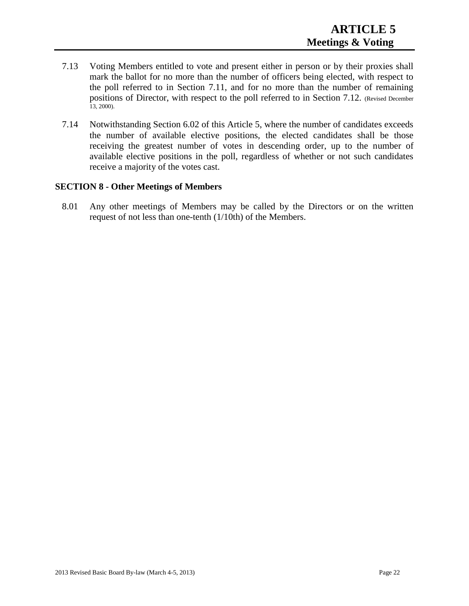- 7.13 Voting Members entitled to vote and present either in person or by their proxies shall mark the ballot for no more than the number of officers being elected, with respect to the poll referred to in Section 7.11, and for no more than the number of remaining positions of Director, with respect to the poll referred to in Section 7.12. (Revised December  $13, 2000$ ).
- 7.14 Notwithstanding Section 6.02 of this Article 5, where the number of candidates exceeds the number of available elective positions, the elected candidates shall be those receiving the greatest number of votes in descending order, up to the number of available elective positions in the poll, regardless of whether or not such candidates receive a majority of the votes cast.

#### **SECTION 8 - Other Meetings of Members**

8.01 Any other meetings of Members may be called by the Directors or on the written request of not less than one-tenth (1/10th) of the Members.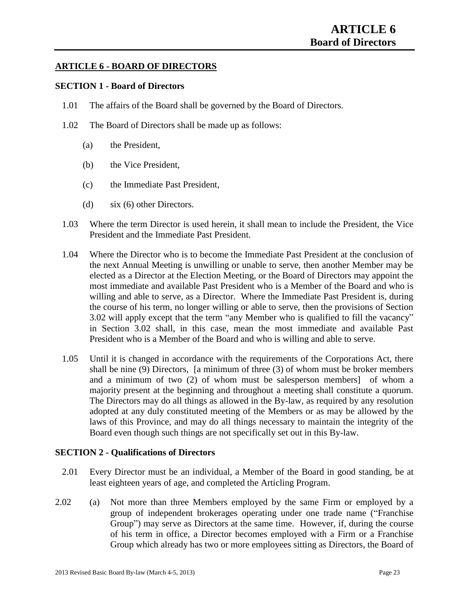#### **ARTICLE 6 - BOARD OF DIRECTORS**

#### **SECTION 1 - Board of Directors**

- 1.01 The affairs of the Board shall be governed by the Board of Directors.
- 1.02 The Board of Directors shall be made up as follows:
	- (a) the President,
	- (b) the Vice President,
	- (c) the Immediate Past President,
	- (d) six (6) other Directors.
- 1.03 Where the term Director is used herein, it shall mean to include the President, the Vice President and the Immediate Past President.
- 1.04 Where the Director who is to become the Immediate Past President at the conclusion of the next Annual Meeting is unwilling or unable to serve, then another Member may be elected as a Director at the Election Meeting, or the Board of Directors may appoint the most immediate and available Past President who is a Member of the Board and who is willing and able to serve, as a Director. Where the Immediate Past President is, during the course of his term, no longer willing or able to serve, then the provisions of Section 3.02 will apply except that the term "any Member who is qualified to fill the vacancy" in Section 3.02 shall, in this case, mean the most immediate and available Past President who is a Member of the Board and who is willing and able to serve.
- 1.05 Until it is changed in accordance with the requirements of the Corporations Act, there shall be nine (9) Directors, [a minimum of three (3) of whom must be broker members and a minimum of two (2) of whom must be salesperson members] of whom a majority present at the beginning and throughout a meeting shall constitute a quorum. The Directors may do all things as allowed in the By-law, as required by any resolution adopted at any duly constituted meeting of the Members or as may be allowed by the laws of this Province, and may do all things necessary to maintain the integrity of the Board even though such things are not specifically set out in this By-law.

#### **SECTION 2 - Qualifications of Directors**

- 2.01 Every Director must be an individual, a Member of the Board in good standing, be at least eighteen years of age, and completed the Articling Program.
- 2.02 (a) Not more than three Members employed by the same Firm or employed by a group of independent brokerages operating under one trade name ("Franchise Group") may serve as Directors at the same time. However, if, during the course of his term in office, a Director becomes employed with a Firm or a Franchise Group which already has two or more employees sitting as Directors, the Board of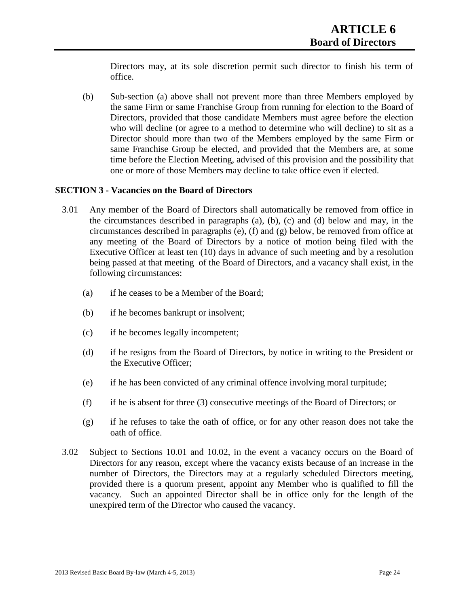Directors may, at its sole discretion permit such director to finish his term of office.

(b) Sub-section (a) above shall not prevent more than three Members employed by the same Firm or same Franchise Group from running for election to the Board of Directors, provided that those candidate Members must agree before the election who will decline (or agree to a method to determine who will decline) to sit as a Director should more than two of the Members employed by the same Firm or same Franchise Group be elected, and provided that the Members are, at some time before the Election Meeting, advised of this provision and the possibility that one or more of those Members may decline to take office even if elected.

#### **SECTION 3 - Vacancies on the Board of Directors**

- 3.01 Any member of the Board of Directors shall automatically be removed from office in the circumstances described in paragraphs (a), (b), (c) and (d) below and may, in the circumstances described in paragraphs (e), (f) and (g) below, be removed from office at any meeting of the Board of Directors by a notice of motion being filed with the Executive Officer at least ten (10) days in advance of such meeting and by a resolution being passed at that meeting of the Board of Directors, and a vacancy shall exist, in the following circumstances:
	- (a) if he ceases to be a Member of the Board;
	- (b) if he becomes bankrupt or insolvent;
	- (c) if he becomes legally incompetent;
	- (d) if he resigns from the Board of Directors, by notice in writing to the President or the Executive Officer;
	- (e) if he has been convicted of any criminal offence involving moral turpitude;
	- (f) if he is absent for three (3) consecutive meetings of the Board of Directors; or
	- (g) if he refuses to take the oath of office, or for any other reason does not take the oath of office.
- 3.02 Subject to Sections 10.01 and 10.02, in the event a vacancy occurs on the Board of Directors for any reason, except where the vacancy exists because of an increase in the number of Directors, the Directors may at a regularly scheduled Directors meeting, provided there is a quorum present, appoint any Member who is qualified to fill the vacancy. Such an appointed Director shall be in office only for the length of the unexpired term of the Director who caused the vacancy.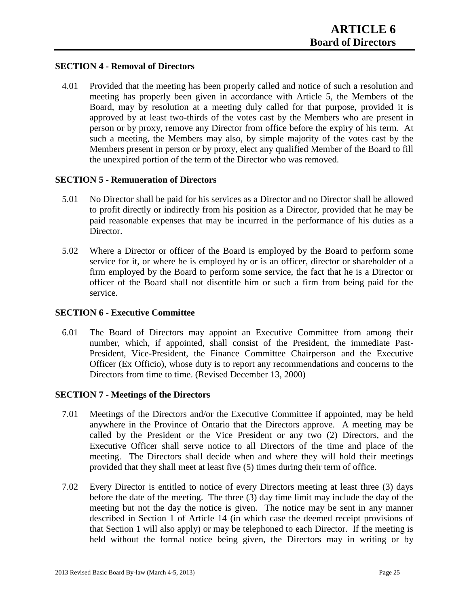#### **SECTION 4 - Removal of Directors**

4.01 Provided that the meeting has been properly called and notice of such a resolution and meeting has properly been given in accordance with Article 5, the Members of the Board, may by resolution at a meeting duly called for that purpose, provided it is approved by at least two-thirds of the votes cast by the Members who are present in person or by proxy, remove any Director from office before the expiry of his term. At such a meeting, the Members may also, by simple majority of the votes cast by the Members present in person or by proxy, elect any qualified Member of the Board to fill the unexpired portion of the term of the Director who was removed.

#### **SECTION 5 - Remuneration of Directors**

- 5.01 No Director shall be paid for his services as a Director and no Director shall be allowed to profit directly or indirectly from his position as a Director, provided that he may be paid reasonable expenses that may be incurred in the performance of his duties as a Director.
- 5.02 Where a Director or officer of the Board is employed by the Board to perform some service for it, or where he is employed by or is an officer, director or shareholder of a firm employed by the Board to perform some service, the fact that he is a Director or officer of the Board shall not disentitle him or such a firm from being paid for the service.

#### **SECTION 6 - Executive Committee**

6.01 The Board of Directors may appoint an Executive Committee from among their number, which, if appointed, shall consist of the President, the immediate Past-President, Vice-President, the Finance Committee Chairperson and the Executive Officer (Ex Officio), whose duty is to report any recommendations and concerns to the Directors from time to time. (Revised December 13, 2000)

#### **SECTION 7 - Meetings of the Directors**

- 7.01 Meetings of the Directors and/or the Executive Committee if appointed, may be held anywhere in the Province of Ontario that the Directors approve. A meeting may be called by the President or the Vice President or any two (2) Directors, and the Executive Officer shall serve notice to all Directors of the time and place of the meeting. The Directors shall decide when and where they will hold their meetings provided that they shall meet at least five (5) times during their term of office.
- 7.02 Every Director is entitled to notice of every Directors meeting at least three (3) days before the date of the meeting. The three (3) day time limit may include the day of the meeting but not the day the notice is given. The notice may be sent in any manner described in Section 1 of Article 14 (in which case the deemed receipt provisions of that Section 1 will also apply) or may be telephoned to each Director. If the meeting is held without the formal notice being given, the Directors may in writing or by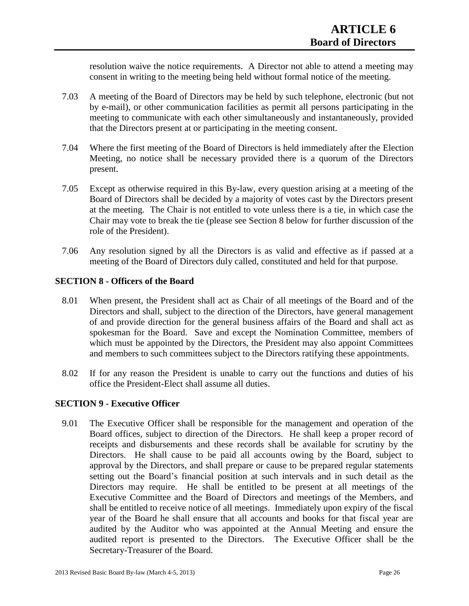resolution waive the notice requirements. A Director not able to attend a meeting may consent in writing to the meeting being held without formal notice of the meeting.

- 7.03 A meeting of the Board of Directors may be held by such telephone, electronic (but not by e-mail), or other communication facilities as permit all persons participating in the meeting to communicate with each other simultaneously and instantaneously, provided that the Directors present at or participating in the meeting consent.
- 7.04 Where the first meeting of the Board of Directors is held immediately after the Election Meeting, no notice shall be necessary provided there is a quorum of the Directors present.
- 7.05 Except as otherwise required in this By-law, every question arising at a meeting of the Board of Directors shall be decided by a majority of votes cast by the Directors present at the meeting. The Chair is not entitled to vote unless there is a tie, in which case the Chair may vote to break the tie (please see Section 8 below for further discussion of the role of the President).
- 7.06 Any resolution signed by all the Directors is as valid and effective as if passed at a meeting of the Board of Directors duly called, constituted and held for that purpose.

#### **SECTION 8 - Officers of the Board**

- 8.01 When present, the President shall act as Chair of all meetings of the Board and of the Directors and shall, subject to the direction of the Directors, have general management of and provide direction for the general business affairs of the Board and shall act as spokesman for the Board. Save and except the Nomination Committee, members of which must be appointed by the Directors, the President may also appoint Committees and members to such committees subject to the Directors ratifying these appointments.
- 8.02 If for any reason the President is unable to carry out the functions and duties of his office the President-Elect shall assume all duties.

#### **SECTION 9 - Executive Officer**

9.01 The Executive Officer shall be responsible for the management and operation of the Board offices, subject to direction of the Directors. He shall keep a proper record of receipts and disbursements and these records shall be available for scrutiny by the Directors. He shall cause to be paid all accounts owing by the Board, subject to approval by the Directors, and shall prepare or cause to be prepared regular statements setting out the Board's financial position at such intervals and in such detail as the Directors may require. He shall be entitled to be present at all meetings of the Executive Committee and the Board of Directors and meetings of the Members, and shall be entitled to receive notice of all meetings. Immediately upon expiry of the fiscal year of the Board he shall ensure that all accounts and books for that fiscal year are audited by the Auditor who was appointed at the Annual Meeting and ensure the audited report is presented to the Directors. The Executive Officer shall be the Secretary-Treasurer of the Board.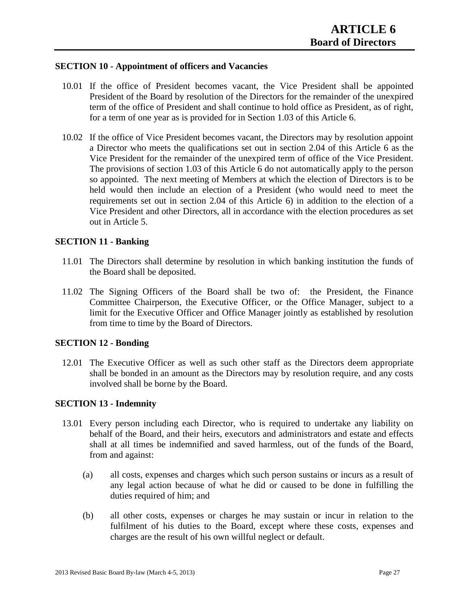#### **SECTION 10 - Appointment of officers and Vacancies**

- 10.01 If the office of President becomes vacant, the Vice President shall be appointed President of the Board by resolution of the Directors for the remainder of the unexpired term of the office of President and shall continue to hold office as President, as of right, for a term of one year as is provided for in Section 1.03 of this Article 6.
- 10.02 If the office of Vice President becomes vacant, the Directors may by resolution appoint a Director who meets the qualifications set out in section 2.04 of this Article 6 as the Vice President for the remainder of the unexpired term of office of the Vice President. The provisions of section 1.03 of this Article 6 do not automatically apply to the person so appointed. The next meeting of Members at which the election of Directors is to be held would then include an election of a President (who would need to meet the requirements set out in section 2.04 of this Article 6) in addition to the election of a Vice President and other Directors, all in accordance with the election procedures as set out in Article 5.

#### **SECTION 11 - Banking**

- 11.01 The Directors shall determine by resolution in which banking institution the funds of the Board shall be deposited.
- 11.02 The Signing Officers of the Board shall be two of: the President, the Finance Committee Chairperson, the Executive Officer, or the Office Manager, subject to a limit for the Executive Officer and Office Manager jointly as established by resolution from time to time by the Board of Directors.

#### **SECTION 12 - Bonding**

12.01 The Executive Officer as well as such other staff as the Directors deem appropriate shall be bonded in an amount as the Directors may by resolution require, and any costs involved shall be borne by the Board.

#### **SECTION 13 - Indemnity**

- 13.01 Every person including each Director, who is required to undertake any liability on behalf of the Board, and their heirs, executors and administrators and estate and effects shall at all times be indemnified and saved harmless, out of the funds of the Board, from and against:
	- (a) all costs, expenses and charges which such person sustains or incurs as a result of any legal action because of what he did or caused to be done in fulfilling the duties required of him; and
	- (b) all other costs, expenses or charges he may sustain or incur in relation to the fulfilment of his duties to the Board, except where these costs, expenses and charges are the result of his own willful neglect or default.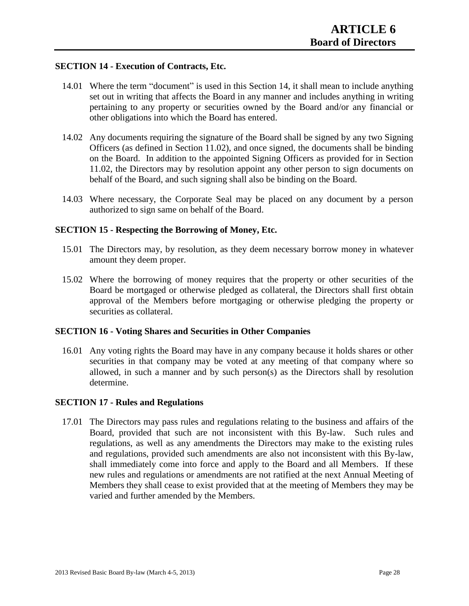#### **SECTION 14 - Execution of Contracts, Etc.**

- 14.01 Where the term "document" is used in this Section 14, it shall mean to include anything set out in writing that affects the Board in any manner and includes anything in writing pertaining to any property or securities owned by the Board and/or any financial or other obligations into which the Board has entered.
- 14.02 Any documents requiring the signature of the Board shall be signed by any two Signing Officers (as defined in Section 11.02), and once signed, the documents shall be binding on the Board. In addition to the appointed Signing Officers as provided for in Section 11.02, the Directors may by resolution appoint any other person to sign documents on behalf of the Board, and such signing shall also be binding on the Board.
- 14.03 Where necessary, the Corporate Seal may be placed on any document by a person authorized to sign same on behalf of the Board.

#### **SECTION 15 - Respecting the Borrowing of Money, Etc.**

- 15.01 The Directors may, by resolution, as they deem necessary borrow money in whatever amount they deem proper.
- 15.02 Where the borrowing of money requires that the property or other securities of the Board be mortgaged or otherwise pledged as collateral, the Directors shall first obtain approval of the Members before mortgaging or otherwise pledging the property or securities as collateral.

#### **SECTION 16 - Voting Shares and Securities in Other Companies**

16.01 Any voting rights the Board may have in any company because it holds shares or other securities in that company may be voted at any meeting of that company where so allowed, in such a manner and by such person(s) as the Directors shall by resolution determine.

#### **SECTION 17 - Rules and Regulations**

17.01 The Directors may pass rules and regulations relating to the business and affairs of the Board, provided that such are not inconsistent with this By-law. Such rules and regulations, as well as any amendments the Directors may make to the existing rules and regulations, provided such amendments are also not inconsistent with this By-law, shall immediately come into force and apply to the Board and all Members. If these new rules and regulations or amendments are not ratified at the next Annual Meeting of Members they shall cease to exist provided that at the meeting of Members they may be varied and further amended by the Members.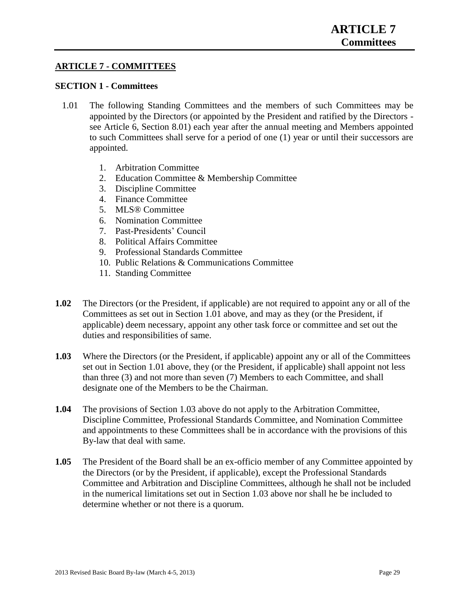#### **ARTICLE 7 - COMMITTEES**

#### **SECTION 1 - Committees**

- 1.01 The following Standing Committees and the members of such Committees may be appointed by the Directors (or appointed by the President and ratified by the Directors see Article 6, Section 8.01) each year after the annual meeting and Members appointed to such Committees shall serve for a period of one (1) year or until their successors are appointed.
	- 1. Arbitration Committee
	- 2. Education Committee & Membership Committee
	- 3. Discipline Committee
	- 4. Finance Committee
	- 5. MLS® Committee
	- 6. Nomination Committee
	- 7. Past-Presidents' Council
	- 8. Political Affairs Committee
	- 9. Professional Standards Committee
	- 10. Public Relations & Communications Committee
	- 11. Standing Committee
- **1.02** The Directors (or the President, if applicable) are not required to appoint any or all of the Committees as set out in Section 1.01 above, and may as they (or the President, if applicable) deem necessary, appoint any other task force or committee and set out the duties and responsibilities of same.
- **1.03** Where the Directors (or the President, if applicable) appoint any or all of the Committees set out in Section 1.01 above, they (or the President, if applicable) shall appoint not less than three (3) and not more than seven (7) Members to each Committee, and shall designate one of the Members to be the Chairman.
- **1.04** The provisions of Section 1.03 above do not apply to the Arbitration Committee, Discipline Committee, Professional Standards Committee, and Nomination Committee and appointments to these Committees shall be in accordance with the provisions of this By-law that deal with same.
- **1.05** The President of the Board shall be an ex-officio member of any Committee appointed by the Directors (or by the President, if applicable), except the Professional Standards Committee and Arbitration and Discipline Committees, although he shall not be included in the numerical limitations set out in Section 1.03 above nor shall he be included to determine whether or not there is a quorum.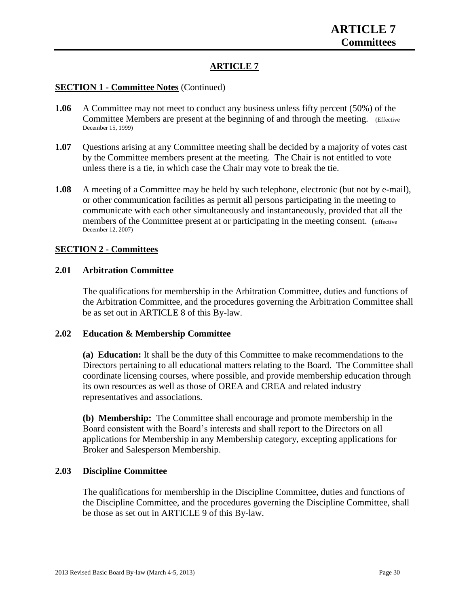### **ARTICLE 7**

#### **SECTION 1 - Committee Notes** (Continued)

- **1.06** A Committee may not meet to conduct any business unless fifty percent (50%) of the Committee Members are present at the beginning of and through the meeting. (Effective December 15, 1999)
- **1.07** Questions arising at any Committee meeting shall be decided by a majority of votes cast by the Committee members present at the meeting. The Chair is not entitled to vote unless there is a tie, in which case the Chair may vote to break the tie.
- **1.08** A meeting of a Committee may be held by such telephone, electronic (but not by e-mail), or other communication facilities as permit all persons participating in the meeting to communicate with each other simultaneously and instantaneously, provided that all the members of the Committee present at or participating in the meeting consent. (Effective December 12, 2007)

#### **SECTION 2 - Committees**

#### **2.01 Arbitration Committee**

The qualifications for membership in the Arbitration Committee, duties and functions of the Arbitration Committee, and the procedures governing the Arbitration Committee shall be as set out in ARTICLE 8 of this By-law.

#### **2.02 Education & Membership Committee**

**(a) Education:** It shall be the duty of this Committee to make recommendations to the Directors pertaining to all educational matters relating to the Board. The Committee shall coordinate licensing courses, where possible, and provide membership education through its own resources as well as those of OREA and CREA and related industry representatives and associations.

**(b) Membership:** The Committee shall encourage and promote membership in the Board consistent with the Board's interests and shall report to the Directors on all applications for Membership in any Membership category, excepting applications for Broker and Salesperson Membership.

#### **2.03 Discipline Committee**

The qualifications for membership in the Discipline Committee, duties and functions of the Discipline Committee, and the procedures governing the Discipline Committee, shall be those as set out in ARTICLE 9 of this By-law.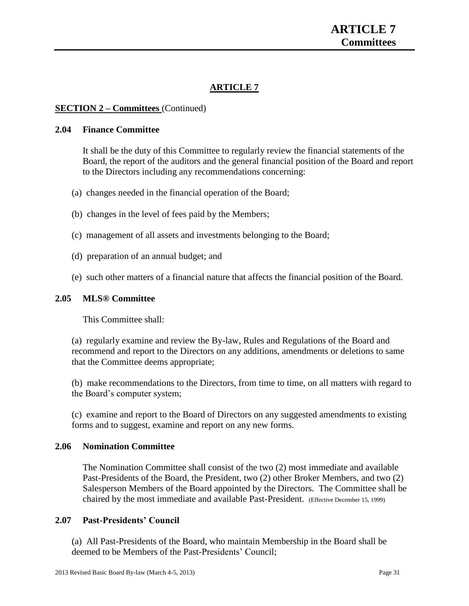# **ARTICLE 7**

#### **SECTION 2 – Committees** (Continued)

#### **2.04 Finance Committee**

It shall be the duty of this Committee to regularly review the financial statements of the Board, the report of the auditors and the general financial position of the Board and report to the Directors including any recommendations concerning:

- (a) changes needed in the financial operation of the Board;
- (b) changes in the level of fees paid by the Members;
- (c) management of all assets and investments belonging to the Board;
- (d) preparation of an annual budget; and
- (e) such other matters of a financial nature that affects the financial position of the Board.

#### **2.05 MLS® Committee**

This Committee shall:

(a) regularly examine and review the By-law, Rules and Regulations of the Board and recommend and report to the Directors on any additions, amendments or deletions to same that the Committee deems appropriate;

(b) make recommendations to the Directors, from time to time, on all matters with regard to the Board's computer system;

(c) examine and report to the Board of Directors on any suggested amendments to existing forms and to suggest, examine and report on any new forms.

#### **2.06 Nomination Committee**

The Nomination Committee shall consist of the two (2) most immediate and available Past-Presidents of the Board, the President, two (2) other Broker Members, and two (2) Salesperson Members of the Board appointed by the Directors. The Committee shall be chaired by the most immediate and available Past-President. (Effective December 15, 1999)

#### **2.07 Past-Presidents' Council**

(a) All Past-Presidents of the Board, who maintain Membership in the Board shall be deemed to be Members of the Past-Presidents' Council;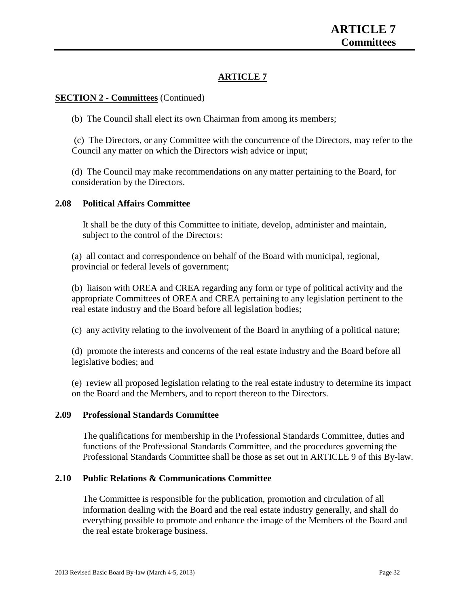# **ARTICLE 7**

## **SECTION 2 - Committees** (Continued)

(b) The Council shall elect its own Chairman from among its members;

(c) The Directors, or any Committee with the concurrence of the Directors, may refer to the Council any matter on which the Directors wish advice or input;

(d) The Council may make recommendations on any matter pertaining to the Board, for consideration by the Directors.

## **2.08 Political Affairs Committee**

It shall be the duty of this Committee to initiate, develop, administer and maintain, subject to the control of the Directors:

(a) all contact and correspondence on behalf of the Board with municipal, regional, provincial or federal levels of government;

(b) liaison with OREA and CREA regarding any form or type of political activity and the appropriate Committees of OREA and CREA pertaining to any legislation pertinent to the real estate industry and the Board before all legislation bodies;

(c) any activity relating to the involvement of the Board in anything of a political nature;

(d) promote the interests and concerns of the real estate industry and the Board before all legislative bodies; and

(e) review all proposed legislation relating to the real estate industry to determine its impact on the Board and the Members, and to report thereon to the Directors.

## **2.09 Professional Standards Committee**

The qualifications for membership in the Professional Standards Committee, duties and functions of the Professional Standards Committee, and the procedures governing the Professional Standards Committee shall be those as set out in ARTICLE 9 of this By-law.

## **2.10 Public Relations & Communications Committee**

The Committee is responsible for the publication, promotion and circulation of all information dealing with the Board and the real estate industry generally, and shall do everything possible to promote and enhance the image of the Members of the Board and the real estate brokerage business.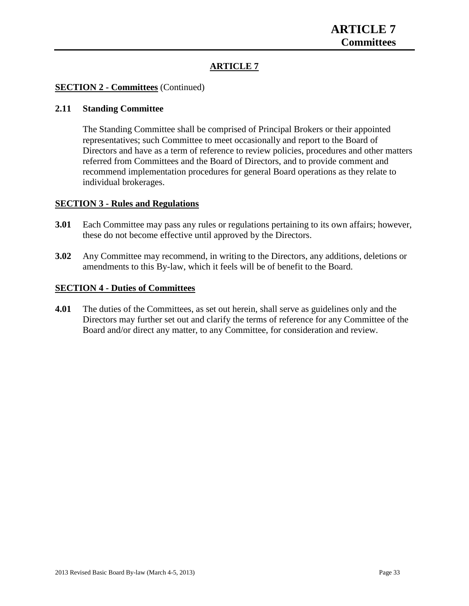# **ARTICLE 7**

## **SECTION 2 - Committees** (Continued)

## **2.11 Standing Committee**

The Standing Committee shall be comprised of Principal Brokers or their appointed representatives; such Committee to meet occasionally and report to the Board of Directors and have as a term of reference to review policies, procedures and other matters referred from Committees and the Board of Directors, and to provide comment and recommend implementation procedures for general Board operations as they relate to individual brokerages.

### **SECTION 3 - Rules and Regulations**

- **3.01** Each Committee may pass any rules or regulations pertaining to its own affairs; however, these do not become effective until approved by the Directors.
- **3.02** Any Committee may recommend, in writing to the Directors, any additions, deletions or amendments to this By-law, which it feels will be of benefit to the Board.

### **SECTION 4 - Duties of Committees**

**4.01** The duties of the Committees, as set out herein, shall serve as guidelines only and the Directors may further set out and clarify the terms of reference for any Committee of the Board and/or direct any matter, to any Committee, for consideration and review.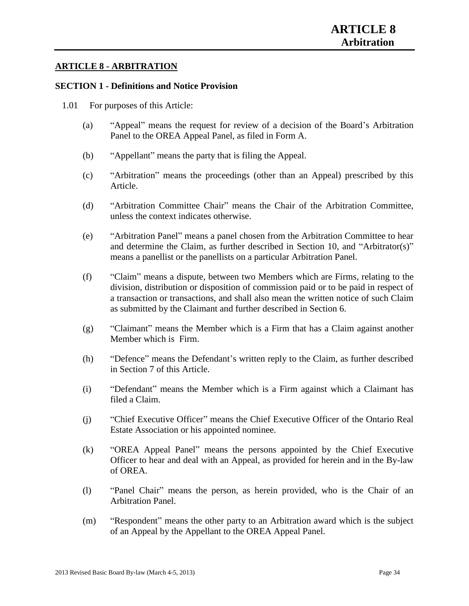## **ARTICLE 8 - ARBITRATION**

### **SECTION 1 - Definitions and Notice Provision**

- 1.01 For purposes of this Article:
	- (a) "Appeal" means the request for review of a decision of the Board's Arbitration Panel to the OREA Appeal Panel, as filed in Form A.
	- (b) "Appellant" means the party that is filing the Appeal.
	- (c) "Arbitration" means the proceedings (other than an Appeal) prescribed by this Article.
	- (d) "Arbitration Committee Chair" means the Chair of the Arbitration Committee, unless the context indicates otherwise.
	- (e) "Arbitration Panel" means a panel chosen from the Arbitration Committee to hear and determine the Claim, as further described in Section 10, and "Arbitrator(s)" means a panellist or the panellists on a particular Arbitration Panel.
	- (f) "Claim" means a dispute, between two Members which are Firms, relating to the division, distribution or disposition of commission paid or to be paid in respect of a transaction or transactions, and shall also mean the written notice of such Claim as submitted by the Claimant and further described in Section 6.
	- (g) "Claimant" means the Member which is a Firm that has a Claim against another Member which is Firm.
	- (h) "Defence" means the Defendant's written reply to the Claim, as further described in Section 7 of this Article.
	- (i) "Defendant" means the Member which is a Firm against which a Claimant has filed a Claim.
	- (j) "Chief Executive Officer" means the Chief Executive Officer of the Ontario Real Estate Association or his appointed nominee.
	- (k) "OREA Appeal Panel" means the persons appointed by the Chief Executive Officer to hear and deal with an Appeal, as provided for herein and in the By-law of OREA.
	- (l) "Panel Chair" means the person, as herein provided, who is the Chair of an Arbitration Panel.
	- (m) "Respondent" means the other party to an Arbitration award which is the subject of an Appeal by the Appellant to the OREA Appeal Panel.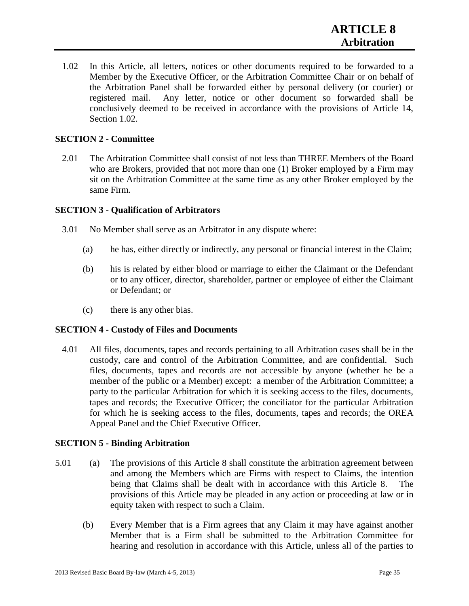1.02 In this Article, all letters, notices or other documents required to be forwarded to a Member by the Executive Officer, or the Arbitration Committee Chair or on behalf of the Arbitration Panel shall be forwarded either by personal delivery (or courier) or registered mail. Any letter, notice or other document so forwarded shall be conclusively deemed to be received in accordance with the provisions of Article 14, Section 1.02.

## **SECTION 2 - Committee**

2.01 The Arbitration Committee shall consist of not less than THREE Members of the Board who are Brokers, provided that not more than one (1) Broker employed by a Firm may sit on the Arbitration Committee at the same time as any other Broker employed by the same Firm.

## **SECTION 3 - Qualification of Arbitrators**

- 3.01 No Member shall serve as an Arbitrator in any dispute where:
	- (a) he has, either directly or indirectly, any personal or financial interest in the Claim;
	- (b) his is related by either blood or marriage to either the Claimant or the Defendant or to any officer, director, shareholder, partner or employee of either the Claimant or Defendant; or
	- (c) there is any other bias.

## **SECTION 4 - Custody of Files and Documents**

4.01 All files, documents, tapes and records pertaining to all Arbitration cases shall be in the custody, care and control of the Arbitration Committee, and are confidential. Such files, documents, tapes and records are not accessible by anyone (whether he be a member of the public or a Member) except: a member of the Arbitration Committee; a party to the particular Arbitration for which it is seeking access to the files, documents, tapes and records; the Executive Officer; the conciliator for the particular Arbitration for which he is seeking access to the files, documents, tapes and records; the OREA Appeal Panel and the Chief Executive Officer.

## **SECTION 5 - Binding Arbitration**

- 5.01 (a) The provisions of this Article 8 shall constitute the arbitration agreement between and among the Members which are Firms with respect to Claims, the intention being that Claims shall be dealt with in accordance with this Article 8. The provisions of this Article may be pleaded in any action or proceeding at law or in equity taken with respect to such a Claim.
	- (b) Every Member that is a Firm agrees that any Claim it may have against another Member that is a Firm shall be submitted to the Arbitration Committee for hearing and resolution in accordance with this Article, unless all of the parties to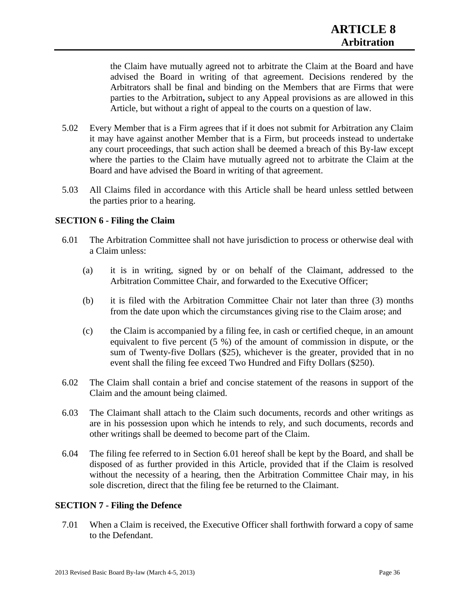the Claim have mutually agreed not to arbitrate the Claim at the Board and have advised the Board in writing of that agreement. Decisions rendered by the Arbitrators shall be final and binding on the Members that are Firms that were parties to the Arbitration**,** subject to any Appeal provisions as are allowed in this Article, but without a right of appeal to the courts on a question of law.

- 5.02 Every Member that is a Firm agrees that if it does not submit for Arbitration any Claim it may have against another Member that is a Firm, but proceeds instead to undertake any court proceedings, that such action shall be deemed a breach of this By-law except where the parties to the Claim have mutually agreed not to arbitrate the Claim at the Board and have advised the Board in writing of that agreement.
- 5.03 All Claims filed in accordance with this Article shall be heard unless settled between the parties prior to a hearing.

## **SECTION 6 - Filing the Claim**

- 6.01 The Arbitration Committee shall not have jurisdiction to process or otherwise deal with a Claim unless:
	- (a) it is in writing, signed by or on behalf of the Claimant, addressed to the Arbitration Committee Chair, and forwarded to the Executive Officer;
	- (b) it is filed with the Arbitration Committee Chair not later than three (3) months from the date upon which the circumstances giving rise to the Claim arose; and
	- (c) the Claim is accompanied by a filing fee, in cash or certified cheque, in an amount equivalent to five percent (5 %) of the amount of commission in dispute, or the sum of Twenty-five Dollars (\$25), whichever is the greater, provided that in no event shall the filing fee exceed Two Hundred and Fifty Dollars (\$250).
- 6.02 The Claim shall contain a brief and concise statement of the reasons in support of the Claim and the amount being claimed.
- 6.03 The Claimant shall attach to the Claim such documents, records and other writings as are in his possession upon which he intends to rely, and such documents, records and other writings shall be deemed to become part of the Claim.
- 6.04 The filing fee referred to in Section 6.01 hereof shall be kept by the Board, and shall be disposed of as further provided in this Article, provided that if the Claim is resolved without the necessity of a hearing, then the Arbitration Committee Chair may, in his sole discretion, direct that the filing fee be returned to the Claimant.

#### **SECTION 7 - Filing the Defence**

7.01 When a Claim is received, the Executive Officer shall forthwith forward a copy of same to the Defendant.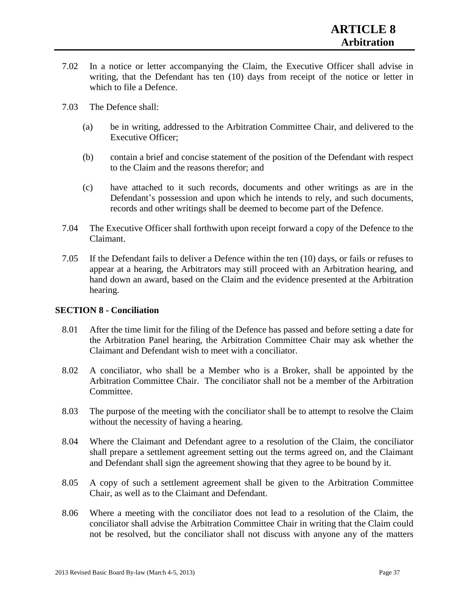- 7.02 In a notice or letter accompanying the Claim, the Executive Officer shall advise in writing, that the Defendant has ten (10) days from receipt of the notice or letter in which to file a Defence.
- 7.03 The Defence shall:
	- (a) be in writing, addressed to the Arbitration Committee Chair, and delivered to the Executive Officer;
	- (b) contain a brief and concise statement of the position of the Defendant with respect to the Claim and the reasons therefor; and
	- (c) have attached to it such records, documents and other writings as are in the Defendant's possession and upon which he intends to rely, and such documents, records and other writings shall be deemed to become part of the Defence.
- 7.04 The Executive Officer shall forthwith upon receipt forward a copy of the Defence to the Claimant.
- 7.05 If the Defendant fails to deliver a Defence within the ten (10) days, or fails or refuses to appear at a hearing, the Arbitrators may still proceed with an Arbitration hearing, and hand down an award, based on the Claim and the evidence presented at the Arbitration hearing.

#### **SECTION 8 - Conciliation**

- 8.01 After the time limit for the filing of the Defence has passed and before setting a date for the Arbitration Panel hearing, the Arbitration Committee Chair may ask whether the Claimant and Defendant wish to meet with a conciliator.
- 8.02 A conciliator, who shall be a Member who is a Broker, shall be appointed by the Arbitration Committee Chair. The conciliator shall not be a member of the Arbitration Committee.
- 8.03 The purpose of the meeting with the conciliator shall be to attempt to resolve the Claim without the necessity of having a hearing.
- 8.04 Where the Claimant and Defendant agree to a resolution of the Claim, the conciliator shall prepare a settlement agreement setting out the terms agreed on, and the Claimant and Defendant shall sign the agreement showing that they agree to be bound by it.
- 8.05 A copy of such a settlement agreement shall be given to the Arbitration Committee Chair, as well as to the Claimant and Defendant.
- 8.06 Where a meeting with the conciliator does not lead to a resolution of the Claim, the conciliator shall advise the Arbitration Committee Chair in writing that the Claim could not be resolved, but the conciliator shall not discuss with anyone any of the matters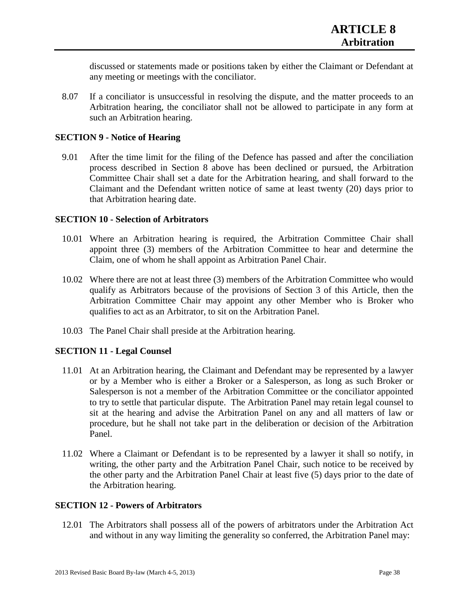discussed or statements made or positions taken by either the Claimant or Defendant at any meeting or meetings with the conciliator.

8.07 If a conciliator is unsuccessful in resolving the dispute, and the matter proceeds to an Arbitration hearing, the conciliator shall not be allowed to participate in any form at such an Arbitration hearing.

### **SECTION 9 - Notice of Hearing**

9.01 After the time limit for the filing of the Defence has passed and after the conciliation process described in Section 8 above has been declined or pursued, the Arbitration Committee Chair shall set a date for the Arbitration hearing, and shall forward to the Claimant and the Defendant written notice of same at least twenty (20) days prior to that Arbitration hearing date.

### **SECTION 10 - Selection of Arbitrators**

- 10.01 Where an Arbitration hearing is required, the Arbitration Committee Chair shall appoint three (3) members of the Arbitration Committee to hear and determine the Claim, one of whom he shall appoint as Arbitration Panel Chair.
- 10.02 Where there are not at least three (3) members of the Arbitration Committee who would qualify as Arbitrators because of the provisions of Section 3 of this Article, then the Arbitration Committee Chair may appoint any other Member who is Broker who qualifies to act as an Arbitrator, to sit on the Arbitration Panel.
- 10.03 The Panel Chair shall preside at the Arbitration hearing.

## **SECTION 11 - Legal Counsel**

- 11.01 At an Arbitration hearing, the Claimant and Defendant may be represented by a lawyer or by a Member who is either a Broker or a Salesperson, as long as such Broker or Salesperson is not a member of the Arbitration Committee or the conciliator appointed to try to settle that particular dispute. The Arbitration Panel may retain legal counsel to sit at the hearing and advise the Arbitration Panel on any and all matters of law or procedure, but he shall not take part in the deliberation or decision of the Arbitration Panel.
- 11.02 Where a Claimant or Defendant is to be represented by a lawyer it shall so notify, in writing, the other party and the Arbitration Panel Chair, such notice to be received by the other party and the Arbitration Panel Chair at least five (5) days prior to the date of the Arbitration hearing.

## **SECTION 12 - Powers of Arbitrators**

12.01 The Arbitrators shall possess all of the powers of arbitrators under the Arbitration Act and without in any way limiting the generality so conferred, the Arbitration Panel may: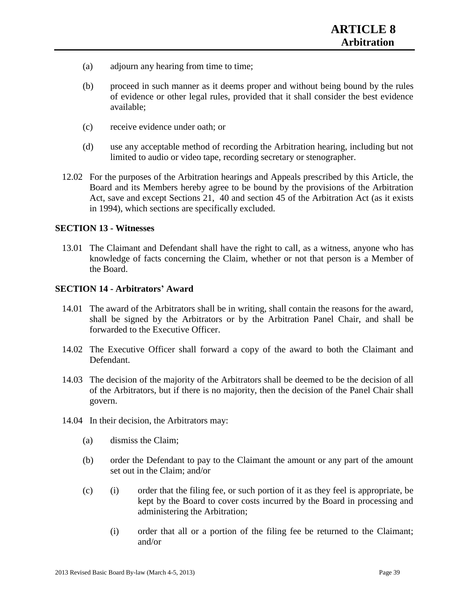- (a) adjourn any hearing from time to time;
- (b) proceed in such manner as it deems proper and without being bound by the rules of evidence or other legal rules, provided that it shall consider the best evidence available;
- (c) receive evidence under oath; or
- (d) use any acceptable method of recording the Arbitration hearing, including but not limited to audio or video tape, recording secretary or stenographer.
- 12.02 For the purposes of the Arbitration hearings and Appeals prescribed by this Article, the Board and its Members hereby agree to be bound by the provisions of the Arbitration Act, save and except Sections 21, 40 and section 45 of the Arbitration Act (as it exists in 1994), which sections are specifically excluded.

### **SECTION 13 - Witnesses**

13.01 The Claimant and Defendant shall have the right to call, as a witness, anyone who has knowledge of facts concerning the Claim, whether or not that person is a Member of the Board.

### **SECTION 14 - Arbitrators' Award**

- 14.01 The award of the Arbitrators shall be in writing, shall contain the reasons for the award, shall be signed by the Arbitrators or by the Arbitration Panel Chair, and shall be forwarded to the Executive Officer.
- 14.02 The Executive Officer shall forward a copy of the award to both the Claimant and Defendant.
- 14.03 The decision of the majority of the Arbitrators shall be deemed to be the decision of all of the Arbitrators, but if there is no majority, then the decision of the Panel Chair shall govern.
- 14.04 In their decision, the Arbitrators may:
	- (a) dismiss the Claim;
	- (b) order the Defendant to pay to the Claimant the amount or any part of the amount set out in the Claim; and/or
	- (c) (i) order that the filing fee, or such portion of it as they feel is appropriate, be kept by the Board to cover costs incurred by the Board in processing and administering the Arbitration;
		- (i) order that all or a portion of the filing fee be returned to the Claimant; and/or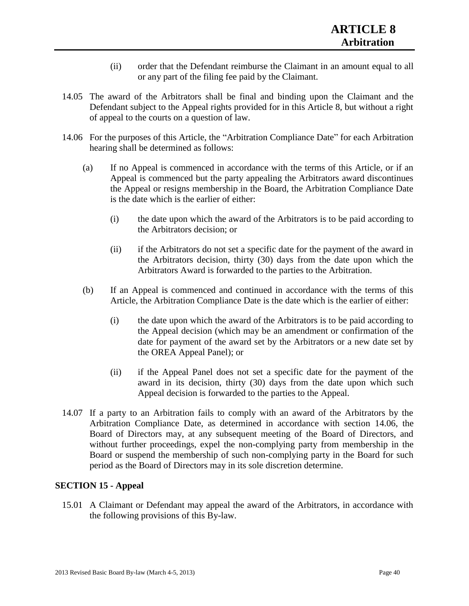- (ii) order that the Defendant reimburse the Claimant in an amount equal to all or any part of the filing fee paid by the Claimant.
- 14.05 The award of the Arbitrators shall be final and binding upon the Claimant and the Defendant subject to the Appeal rights provided for in this Article 8, but without a right of appeal to the courts on a question of law.
- 14.06 For the purposes of this Article, the "Arbitration Compliance Date" for each Arbitration hearing shall be determined as follows:
	- (a) If no Appeal is commenced in accordance with the terms of this Article, or if an Appeal is commenced but the party appealing the Arbitrators award discontinues the Appeal or resigns membership in the Board, the Arbitration Compliance Date is the date which is the earlier of either:
		- (i) the date upon which the award of the Arbitrators is to be paid according to the Arbitrators decision; or
		- (ii) if the Arbitrators do not set a specific date for the payment of the award in the Arbitrators decision, thirty (30) days from the date upon which the Arbitrators Award is forwarded to the parties to the Arbitration.
	- (b) If an Appeal is commenced and continued in accordance with the terms of this Article, the Arbitration Compliance Date is the date which is the earlier of either:
		- (i) the date upon which the award of the Arbitrators is to be paid according to the Appeal decision (which may be an amendment or confirmation of the date for payment of the award set by the Arbitrators or a new date set by the OREA Appeal Panel); or
		- (ii) if the Appeal Panel does not set a specific date for the payment of the award in its decision, thirty (30) days from the date upon which such Appeal decision is forwarded to the parties to the Appeal.
- 14.07 If a party to an Arbitration fails to comply with an award of the Arbitrators by the Arbitration Compliance Date, as determined in accordance with section 14.06, the Board of Directors may, at any subsequent meeting of the Board of Directors, and without further proceedings, expel the non-complying party from membership in the Board or suspend the membership of such non-complying party in the Board for such period as the Board of Directors may in its sole discretion determine.

## **SECTION 15 - Appeal**

15.01 A Claimant or Defendant may appeal the award of the Arbitrators, in accordance with the following provisions of this By-law.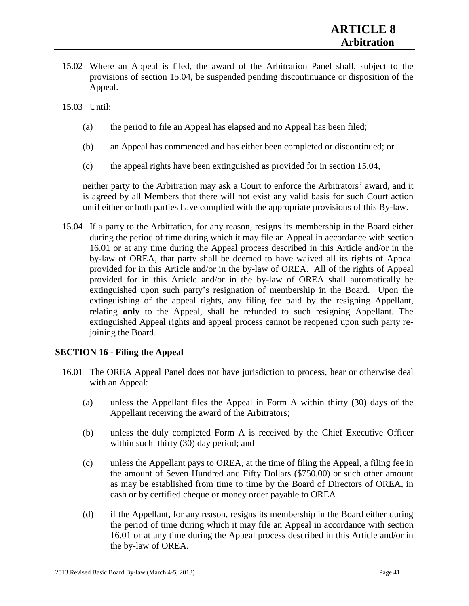15.02 Where an Appeal is filed, the award of the Arbitration Panel shall, subject to the provisions of section 15.04, be suspended pending discontinuance or disposition of the Appeal.

15.03 Until:

- (a) the period to file an Appeal has elapsed and no Appeal has been filed;
- (b) an Appeal has commenced and has either been completed or discontinued; or
- (c) the appeal rights have been extinguished as provided for in section 15.04,

neither party to the Arbitration may ask a Court to enforce the Arbitrators' award, and it is agreed by all Members that there will not exist any valid basis for such Court action until either or both parties have complied with the appropriate provisions of this By-law.

15.04 If a party to the Arbitration, for any reason, resigns its membership in the Board either during the period of time during which it may file an Appeal in accordance with section 16.01 or at any time during the Appeal process described in this Article and/or in the by-law of OREA, that party shall be deemed to have waived all its rights of Appeal provided for in this Article and/or in the by-law of OREA. All of the rights of Appeal provided for in this Article and/or in the by-law of OREA shall automatically be extinguished upon such party's resignation of membership in the Board. Upon the extinguishing of the appeal rights, any filing fee paid by the resigning Appellant, relating **only** to the Appeal, shall be refunded to such resigning Appellant. The extinguished Appeal rights and appeal process cannot be reopened upon such party rejoining the Board.

## **SECTION 16 - Filing the Appeal**

- 16.01 The OREA Appeal Panel does not have jurisdiction to process, hear or otherwise deal with an Appeal:
	- (a) unless the Appellant files the Appeal in Form A within thirty (30) days of the Appellant receiving the award of the Arbitrators;
	- (b) unless the duly completed Form A is received by the Chief Executive Officer within such thirty (30) day period; and
	- (c) unless the Appellant pays to OREA, at the time of filing the Appeal, a filing fee in the amount of Seven Hundred and Fifty Dollars (\$750.00) or such other amount as may be established from time to time by the Board of Directors of OREA, in cash or by certified cheque or money order payable to OREA
	- (d) if the Appellant, for any reason, resigns its membership in the Board either during the period of time during which it may file an Appeal in accordance with section 16.01 or at any time during the Appeal process described in this Article and/or in the by-law of OREA.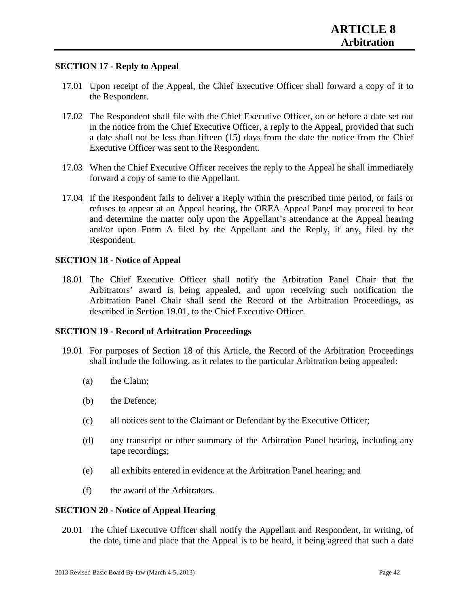## **SECTION 17 - Reply to Appeal**

- 17.01 Upon receipt of the Appeal, the Chief Executive Officer shall forward a copy of it to the Respondent.
- 17.02 The Respondent shall file with the Chief Executive Officer, on or before a date set out in the notice from the Chief Executive Officer, a reply to the Appeal, provided that such a date shall not be less than fifteen (15) days from the date the notice from the Chief Executive Officer was sent to the Respondent.
- 17.03 When the Chief Executive Officer receives the reply to the Appeal he shall immediately forward a copy of same to the Appellant.
- 17.04 If the Respondent fails to deliver a Reply within the prescribed time period, or fails or refuses to appear at an Appeal hearing, the OREA Appeal Panel may proceed to hear and determine the matter only upon the Appellant's attendance at the Appeal hearing and/or upon Form A filed by the Appellant and the Reply, if any, filed by the Respondent.

### **SECTION 18 - Notice of Appeal**

18.01 The Chief Executive Officer shall notify the Arbitration Panel Chair that the Arbitrators' award is being appealed, and upon receiving such notification the Arbitration Panel Chair shall send the Record of the Arbitration Proceedings, as described in Section 19.01, to the Chief Executive Officer.

#### **SECTION 19 - Record of Arbitration Proceedings**

- 19.01 For purposes of Section 18 of this Article, the Record of the Arbitration Proceedings shall include the following, as it relates to the particular Arbitration being appealed:
	- (a) the Claim;
	- (b) the Defence;
	- (c) all notices sent to the Claimant or Defendant by the Executive Officer;
	- (d) any transcript or other summary of the Arbitration Panel hearing, including any tape recordings;
	- (e) all exhibits entered in evidence at the Arbitration Panel hearing; and
	- (f) the award of the Arbitrators.

#### **SECTION 20 - Notice of Appeal Hearing**

20.01 The Chief Executive Officer shall notify the Appellant and Respondent, in writing, of the date, time and place that the Appeal is to be heard, it being agreed that such a date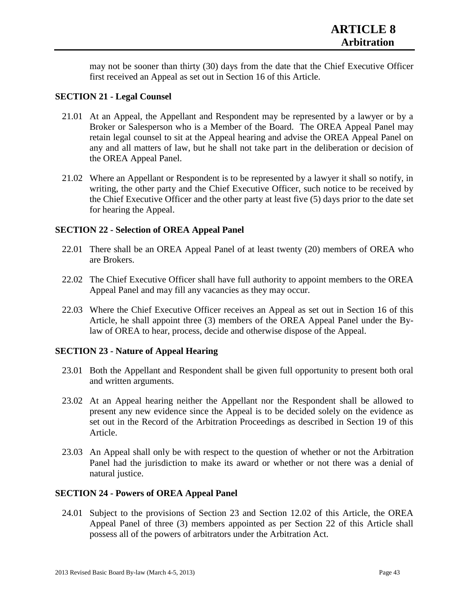may not be sooner than thirty (30) days from the date that the Chief Executive Officer first received an Appeal as set out in Section 16 of this Article.

### **SECTION 21 - Legal Counsel**

- 21.01 At an Appeal, the Appellant and Respondent may be represented by a lawyer or by a Broker or Salesperson who is a Member of the Board. The OREA Appeal Panel may retain legal counsel to sit at the Appeal hearing and advise the OREA Appeal Panel on any and all matters of law, but he shall not take part in the deliberation or decision of the OREA Appeal Panel.
- 21.02 Where an Appellant or Respondent is to be represented by a lawyer it shall so notify, in writing, the other party and the Chief Executive Officer, such notice to be received by the Chief Executive Officer and the other party at least five (5) days prior to the date set for hearing the Appeal.

### **SECTION 22 - Selection of OREA Appeal Panel**

- 22.01 There shall be an OREA Appeal Panel of at least twenty (20) members of OREA who are Brokers.
- 22.02 The Chief Executive Officer shall have full authority to appoint members to the OREA Appeal Panel and may fill any vacancies as they may occur.
- 22.03 Where the Chief Executive Officer receives an Appeal as set out in Section 16 of this Article, he shall appoint three (3) members of the OREA Appeal Panel under the Bylaw of OREA to hear, process, decide and otherwise dispose of the Appeal.

#### **SECTION 23 - Nature of Appeal Hearing**

- 23.01 Both the Appellant and Respondent shall be given full opportunity to present both oral and written arguments.
- 23.02 At an Appeal hearing neither the Appellant nor the Respondent shall be allowed to present any new evidence since the Appeal is to be decided solely on the evidence as set out in the Record of the Arbitration Proceedings as described in Section 19 of this Article.
- 23.03 An Appeal shall only be with respect to the question of whether or not the Arbitration Panel had the jurisdiction to make its award or whether or not there was a denial of natural justice.

### **SECTION 24 - Powers of OREA Appeal Panel**

24.01 Subject to the provisions of Section 23 and Section 12.02 of this Article, the OREA Appeal Panel of three (3) members appointed as per Section 22 of this Article shall possess all of the powers of arbitrators under the Arbitration Act.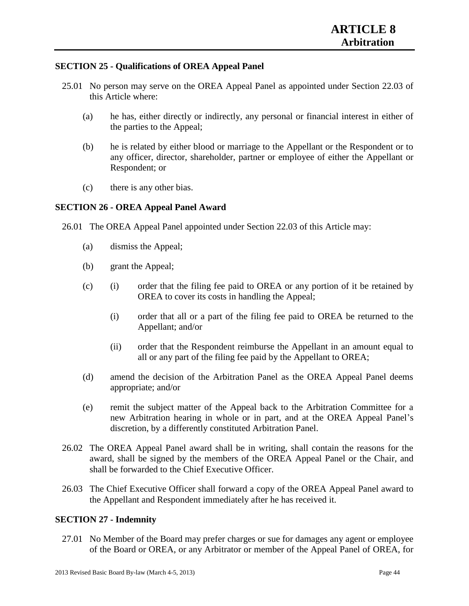## **SECTION 25 - Qualifications of OREA Appeal Panel**

- 25.01 No person may serve on the OREA Appeal Panel as appointed under Section 22.03 of this Article where:
	- (a) he has, either directly or indirectly, any personal or financial interest in either of the parties to the Appeal;
	- (b) he is related by either blood or marriage to the Appellant or the Respondent or to any officer, director, shareholder, partner or employee of either the Appellant or Respondent; or
	- (c) there is any other bias.

## **SECTION 26 - OREA Appeal Panel Award**

26.01 The OREA Appeal Panel appointed under Section 22.03 of this Article may:

- (a) dismiss the Appeal;
- (b) grant the Appeal;
- (c) (i) order that the filing fee paid to OREA or any portion of it be retained by OREA to cover its costs in handling the Appeal;
	- (i) order that all or a part of the filing fee paid to OREA be returned to the Appellant; and/or
	- (ii) order that the Respondent reimburse the Appellant in an amount equal to all or any part of the filing fee paid by the Appellant to OREA;
- (d) amend the decision of the Arbitration Panel as the OREA Appeal Panel deems appropriate; and/or
- (e) remit the subject matter of the Appeal back to the Arbitration Committee for a new Arbitration hearing in whole or in part, and at the OREA Appeal Panel's discretion, by a differently constituted Arbitration Panel.
- 26.02 The OREA Appeal Panel award shall be in writing, shall contain the reasons for the award, shall be signed by the members of the OREA Appeal Panel or the Chair, and shall be forwarded to the Chief Executive Officer.
- 26.03 The Chief Executive Officer shall forward a copy of the OREA Appeal Panel award to the Appellant and Respondent immediately after he has received it.

## **SECTION 27 - Indemnity**

27.01 No Member of the Board may prefer charges or sue for damages any agent or employee of the Board or OREA, or any Arbitrator or member of the Appeal Panel of OREA, for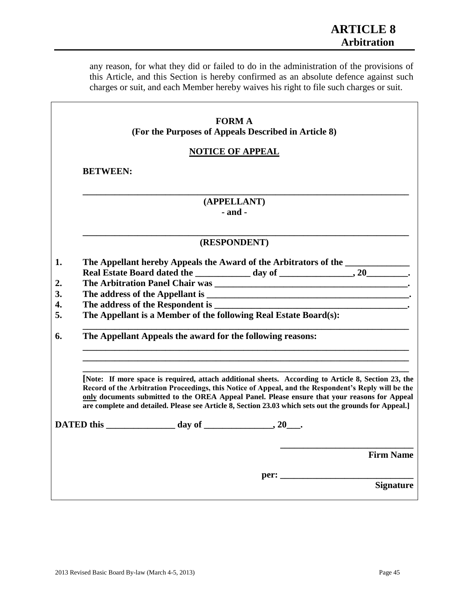any reason, for what they did or failed to do in the administration of the provisions of this Article, and this Section is hereby confirmed as an absolute defence against such charges or suit, and each Member hereby waives his right to file such charges or suit.

| <b>FORM A</b>                                                                                                                                                                                                                                                                                                                                                                                                          |                  |
|------------------------------------------------------------------------------------------------------------------------------------------------------------------------------------------------------------------------------------------------------------------------------------------------------------------------------------------------------------------------------------------------------------------------|------------------|
| (For the Purposes of Appeals Described in Article 8)                                                                                                                                                                                                                                                                                                                                                                   |                  |
| <b>NOTICE OF APPEAL</b>                                                                                                                                                                                                                                                                                                                                                                                                |                  |
| <b>BETWEEN:</b>                                                                                                                                                                                                                                                                                                                                                                                                        |                  |
| (APPELLANT)                                                                                                                                                                                                                                                                                                                                                                                                            |                  |
| $-$ and $-$                                                                                                                                                                                                                                                                                                                                                                                                            |                  |
| (RESPONDENT)                                                                                                                                                                                                                                                                                                                                                                                                           |                  |
| The Appellant hereby Appeals the Award of the Arbitrators of the ______________                                                                                                                                                                                                                                                                                                                                        |                  |
|                                                                                                                                                                                                                                                                                                                                                                                                                        |                  |
|                                                                                                                                                                                                                                                                                                                                                                                                                        |                  |
|                                                                                                                                                                                                                                                                                                                                                                                                                        |                  |
|                                                                                                                                                                                                                                                                                                                                                                                                                        |                  |
| The Appellant is a Member of the following Real Estate Board(s):                                                                                                                                                                                                                                                                                                                                                       |                  |
| The Appellant Appeals the award for the following reasons:                                                                                                                                                                                                                                                                                                                                                             |                  |
|                                                                                                                                                                                                                                                                                                                                                                                                                        |                  |
| [Note: If more space is required, attach additional sheets. According to Article 8, Section 23, the<br>Record of the Arbitration Proceedings, this Notice of Appeal, and the Respondent's Reply will be the<br>only documents submitted to the OREA Appeal Panel. Please ensure that your reasons for Appeal<br>are complete and detailed. Please see Article 8, Section 23.03 which sets out the grounds for Appeal.] |                  |
|                                                                                                                                                                                                                                                                                                                                                                                                                        |                  |
|                                                                                                                                                                                                                                                                                                                                                                                                                        | <b>Firm Name</b> |
|                                                                                                                                                                                                                                                                                                                                                                                                                        |                  |
|                                                                                                                                                                                                                                                                                                                                                                                                                        | <b>Signature</b> |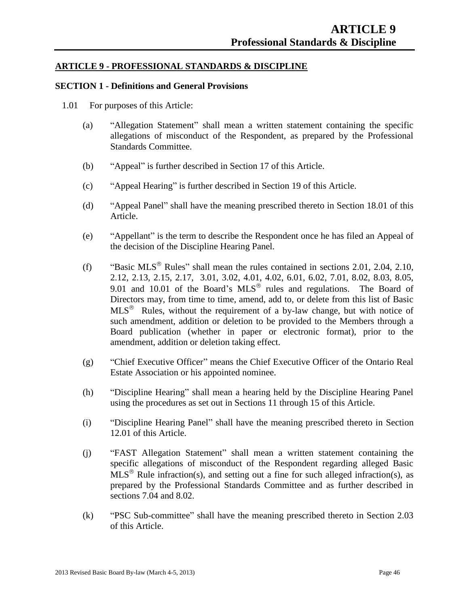## **ARTICLE 9 - PROFESSIONAL STANDARDS & DISCIPLINE**

### **SECTION 1 - Definitions and General Provisions**

- 1.01 For purposes of this Article:
	- (a) "Allegation Statement" shall mean a written statement containing the specific allegations of misconduct of the Respondent, as prepared by the Professional Standards Committee.
	- (b) "Appeal" is further described in Section 17 of this Article.
	- (c) "Appeal Hearing" is further described in Section 19 of this Article.
	- (d) "Appeal Panel" shall have the meaning prescribed thereto in Section 18.01 of this Article.
	- (e) "Appellant" is the term to describe the Respondent once he has filed an Appeal of the decision of the Discipline Hearing Panel.
	- (f) "Basic MLS<sup>®</sup> Rules" shall mean the rules contained in sections 2.01, 2.04, 2.10, 2.12, 2.13, 2.15, 2.17, 3.01, 3.02, 4.01, 4.02, 6.01, 6.02, 7.01, 8.02, 8.03, 8.05, 9.01 and 10.01 of the Board's  $MLS^{\circledast}$  rules and regulations. The Board of Directors may, from time to time, amend, add to, or delete from this list of Basic  $MLS<sup>®</sup>$  Rules, without the requirement of a by-law change, but with notice of such amendment, addition or deletion to be provided to the Members through a Board publication (whether in paper or electronic format), prior to the amendment, addition or deletion taking effect.
	- (g) "Chief Executive Officer" means the Chief Executive Officer of the Ontario Real Estate Association or his appointed nominee.
	- (h) "Discipline Hearing" shall mean a hearing held by the Discipline Hearing Panel using the procedures as set out in Sections 11 through 15 of this Article.
	- (i) "Discipline Hearing Panel" shall have the meaning prescribed thereto in Section 12.01 of this Article.
	- (j) "FAST Allegation Statement" shall mean a written statement containing the specific allegations of misconduct of the Respondent regarding alleged Basic  $MLS^{\otimes}$  Rule infraction(s), and setting out a fine for such alleged infraction(s), as prepared by the Professional Standards Committee and as further described in sections 7.04 and 8.02.
	- (k) "PSC Sub-committee" shall have the meaning prescribed thereto in Section 2.03 of this Article.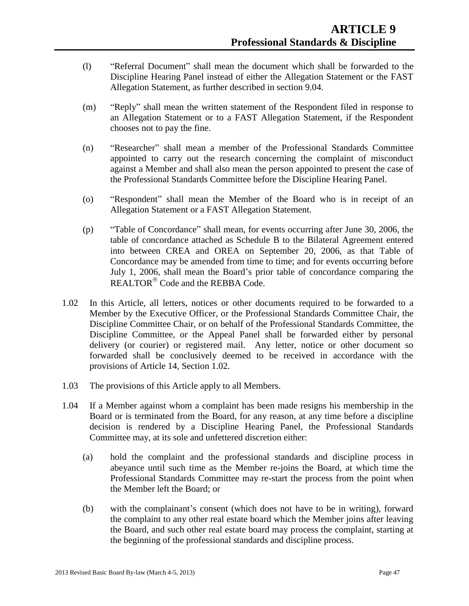- (l) "Referral Document" shall mean the document which shall be forwarded to the Discipline Hearing Panel instead of either the Allegation Statement or the FAST Allegation Statement, as further described in section 9.04.
- (m) "Reply" shall mean the written statement of the Respondent filed in response to an Allegation Statement or to a FAST Allegation Statement, if the Respondent chooses not to pay the fine.
- (n) "Researcher" shall mean a member of the Professional Standards Committee appointed to carry out the research concerning the complaint of misconduct against a Member and shall also mean the person appointed to present the case of the Professional Standards Committee before the Discipline Hearing Panel.
- (o) "Respondent" shall mean the Member of the Board who is in receipt of an Allegation Statement or a FAST Allegation Statement.
- (p) "Table of Concordance" shall mean, for events occurring after June 30, 2006, the table of concordance attached as Schedule B to the Bilateral Agreement entered into between CREA and OREA on September 20, 2006, as that Table of Concordance may be amended from time to time; and for events occurring before July 1, 2006, shall mean the Board's prior table of concordance comparing the REALTOR<sup>®</sup> Code and the REBBA Code.
- 1.02 In this Article, all letters, notices or other documents required to be forwarded to a Member by the Executive Officer, or the Professional Standards Committee Chair, the Discipline Committee Chair, or on behalf of the Professional Standards Committee, the Discipline Committee, or the Appeal Panel shall be forwarded either by personal delivery (or courier) or registered mail. Any letter, notice or other document so forwarded shall be conclusively deemed to be received in accordance with the provisions of Article 14, Section 1.02.
- 1.03 The provisions of this Article apply to all Members.
- 1.04 If a Member against whom a complaint has been made resigns his membership in the Board or is terminated from the Board, for any reason, at any time before a discipline decision is rendered by a Discipline Hearing Panel, the Professional Standards Committee may, at its sole and unfettered discretion either:
	- (a) hold the complaint and the professional standards and discipline process in abeyance until such time as the Member re-joins the Board, at which time the Professional Standards Committee may re-start the process from the point when the Member left the Board; or
	- (b) with the complainant's consent (which does not have to be in writing), forward the complaint to any other real estate board which the Member joins after leaving the Board, and such other real estate board may process the complaint, starting at the beginning of the professional standards and discipline process.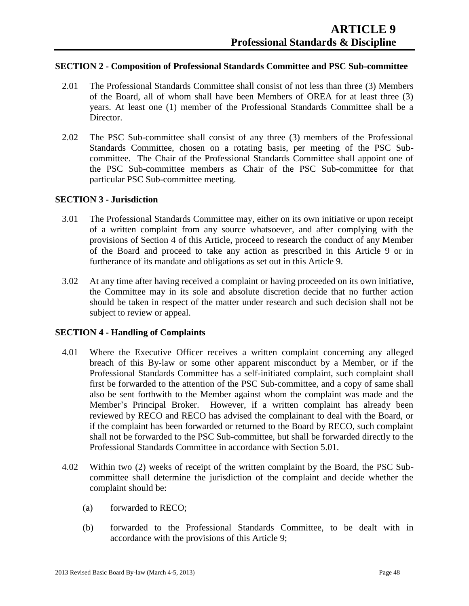### **SECTION 2 - Composition of Professional Standards Committee and PSC Sub-committee**

- 2.01 The Professional Standards Committee shall consist of not less than three (3) Members of the Board, all of whom shall have been Members of OREA for at least three (3) years. At least one (1) member of the Professional Standards Committee shall be a Director.
- 2.02 The PSC Sub-committee shall consist of any three (3) members of the Professional Standards Committee, chosen on a rotating basis, per meeting of the PSC Subcommittee. The Chair of the Professional Standards Committee shall appoint one of the PSC Sub-committee members as Chair of the PSC Sub-committee for that particular PSC Sub-committee meeting.

## **SECTION 3 - Jurisdiction**

- 3.01 The Professional Standards Committee may, either on its own initiative or upon receipt of a written complaint from any source whatsoever, and after complying with the provisions of Section 4 of this Article, proceed to research the conduct of any Member of the Board and proceed to take any action as prescribed in this Article 9 or in furtherance of its mandate and obligations as set out in this Article 9.
- 3.02 At any time after having received a complaint or having proceeded on its own initiative, the Committee may in its sole and absolute discretion decide that no further action should be taken in respect of the matter under research and such decision shall not be subject to review or appeal.

#### **SECTION 4 - Handling of Complaints**

- 4.01 Where the Executive Officer receives a written complaint concerning any alleged breach of this By-law or some other apparent misconduct by a Member, or if the Professional Standards Committee has a self-initiated complaint, such complaint shall first be forwarded to the attention of the PSC Sub-committee, and a copy of same shall also be sent forthwith to the Member against whom the complaint was made and the Member's Principal Broker. However, if a written complaint has already been reviewed by RECO and RECO has advised the complainant to deal with the Board, or if the complaint has been forwarded or returned to the Board by RECO, such complaint shall not be forwarded to the PSC Sub-committee, but shall be forwarded directly to the Professional Standards Committee in accordance with Section 5.01.
- 4.02 Within two (2) weeks of receipt of the written complaint by the Board, the PSC Subcommittee shall determine the jurisdiction of the complaint and decide whether the complaint should be:
	- (a) forwarded to RECO;
	- (b) forwarded to the Professional Standards Committee, to be dealt with in accordance with the provisions of this Article 9;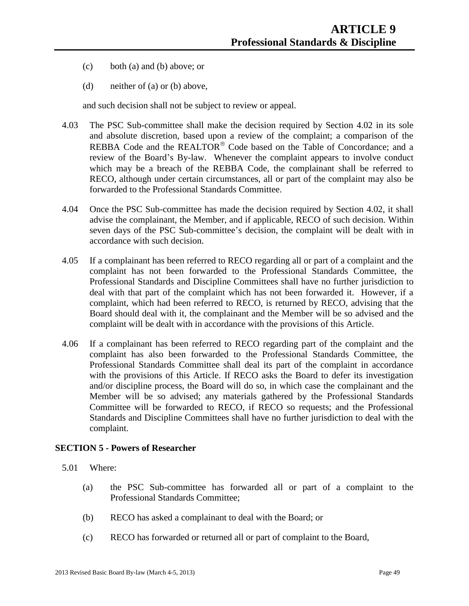- (c) both (a) and (b) above; or
- (d) neither of (a) or (b) above,

and such decision shall not be subject to review or appeal.

- 4.03 The PSC Sub-committee shall make the decision required by Section 4.02 in its sole and absolute discretion, based upon a review of the complaint; a comparison of the REBBA Code and the REALTOR<sup>®</sup> Code based on the Table of Concordance; and a review of the Board's By-law. Whenever the complaint appears to involve conduct which may be a breach of the REBBA Code, the complainant shall be referred to RECO, although under certain circumstances, all or part of the complaint may also be forwarded to the Professional Standards Committee.
- 4.04 Once the PSC Sub-committee has made the decision required by Section 4.02, it shall advise the complainant, the Member, and if applicable, RECO of such decision. Within seven days of the PSC Sub-committee's decision, the complaint will be dealt with in accordance with such decision.
- 4.05 If a complainant has been referred to RECO regarding all or part of a complaint and the complaint has not been forwarded to the Professional Standards Committee, the Professional Standards and Discipline Committees shall have no further jurisdiction to deal with that part of the complaint which has not been forwarded it. However, if a complaint, which had been referred to RECO, is returned by RECO, advising that the Board should deal with it, the complainant and the Member will be so advised and the complaint will be dealt with in accordance with the provisions of this Article.
- 4.06 If a complainant has been referred to RECO regarding part of the complaint and the complaint has also been forwarded to the Professional Standards Committee, the Professional Standards Committee shall deal its part of the complaint in accordance with the provisions of this Article. If RECO asks the Board to defer its investigation and/or discipline process, the Board will do so, in which case the complainant and the Member will be so advised; any materials gathered by the Professional Standards Committee will be forwarded to RECO, if RECO so requests; and the Professional Standards and Discipline Committees shall have no further jurisdiction to deal with the complaint.

#### **SECTION 5 - Powers of Researcher**

- 5.01 Where:
	- (a) the PSC Sub-committee has forwarded all or part of a complaint to the Professional Standards Committee;
	- (b) RECO has asked a complainant to deal with the Board; or
	- (c) RECO has forwarded or returned all or part of complaint to the Board,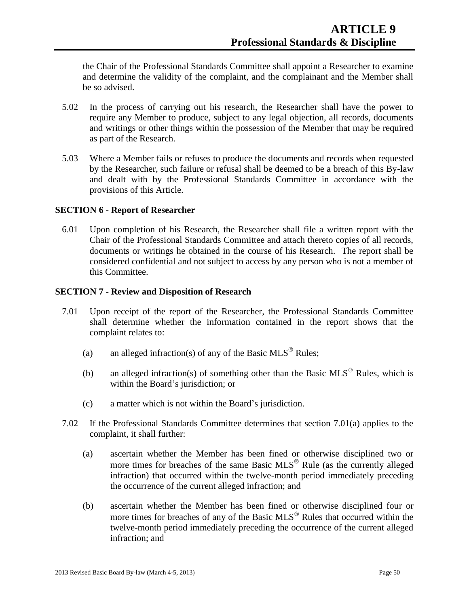the Chair of the Professional Standards Committee shall appoint a Researcher to examine and determine the validity of the complaint, and the complainant and the Member shall be so advised.

- 5.02 In the process of carrying out his research, the Researcher shall have the power to require any Member to produce, subject to any legal objection, all records, documents and writings or other things within the possession of the Member that may be required as part of the Research.
- 5.03 Where a Member fails or refuses to produce the documents and records when requested by the Researcher, such failure or refusal shall be deemed to be a breach of this By-law and dealt with by the Professional Standards Committee in accordance with the provisions of this Article.

### **SECTION 6 - Report of Researcher**

6.01 Upon completion of his Research, the Researcher shall file a written report with the Chair of the Professional Standards Committee and attach thereto copies of all records, documents or writings he obtained in the course of his Research. The report shall be considered confidential and not subject to access by any person who is not a member of this Committee.

### **SECTION 7 - Review and Disposition of Research**

- 7.01 Upon receipt of the report of the Researcher, the Professional Standards Committee shall determine whether the information contained in the report shows that the complaint relates to:
	- (a) an alleged infraction(s) of any of the Basic MLS<sup>®</sup> Rules;
	- (b) an alleged infraction(s) of something other than the Basic MLS<sup>®</sup> Rules, which is within the Board's jurisdiction; or
	- (c) a matter which is not within the Board's jurisdiction.
- 7.02 If the Professional Standards Committee determines that section 7.01(a) applies to the complaint, it shall further:
	- (a) ascertain whether the Member has been fined or otherwise disciplined two or more times for breaches of the same Basic  $MLS^{\circledR}$  Rule (as the currently alleged infraction) that occurred within the twelve-month period immediately preceding the occurrence of the current alleged infraction; and
	- (b) ascertain whether the Member has been fined or otherwise disciplined four or more times for breaches of any of the Basic  $MLS^{\circledR}$  Rules that occurred within the twelve-month period immediately preceding the occurrence of the current alleged infraction; and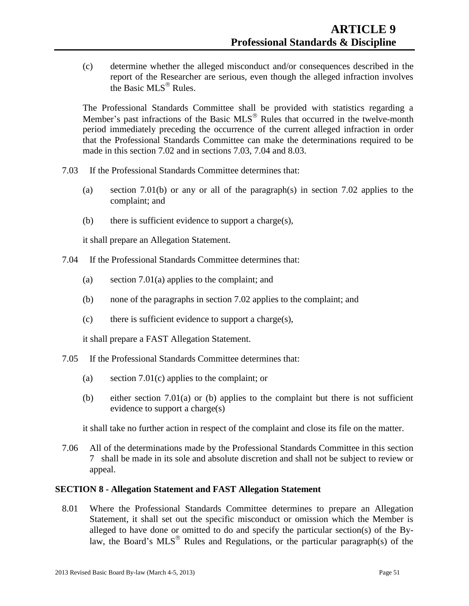(c) determine whether the alleged misconduct and/or consequences described in the report of the Researcher are serious, even though the alleged infraction involves the Basic  $MLS^{\circledR}$  Rules.

The Professional Standards Committee shall be provided with statistics regarding a Member's past infractions of the Basic  $MLS^{\circledR}$  Rules that occurred in the twelve-month period immediately preceding the occurrence of the current alleged infraction in order that the Professional Standards Committee can make the determinations required to be made in this section 7.02 and in sections 7.03, 7.04 and 8.03.

- 7.03 If the Professional Standards Committee determines that:
	- (a) section 7.01(b) or any or all of the paragraph(s) in section 7.02 applies to the complaint; and
	- (b) there is sufficient evidence to support a charge(s),

it shall prepare an Allegation Statement.

- 7.04 If the Professional Standards Committee determines that:
	- (a) section 7.01(a) applies to the complaint; and
	- (b) none of the paragraphs in section 7.02 applies to the complaint; and
	- (c) there is sufficient evidence to support a charge(s),

it shall prepare a FAST Allegation Statement.

- 7.05 If the Professional Standards Committee determines that:
	- (a) section 7.01(c) applies to the complaint; or
	- (b) either section 7.01(a) or (b) applies to the complaint but there is not sufficient evidence to support a charge(s)

it shall take no further action in respect of the complaint and close its file on the matter.

7.06 All of the determinations made by the Professional Standards Committee in this section 7 shall be made in its sole and absolute discretion and shall not be subject to review or appeal.

#### **SECTION 8 - Allegation Statement and FAST Allegation Statement**

8.01 Where the Professional Standards Committee determines to prepare an Allegation Statement, it shall set out the specific misconduct or omission which the Member is alleged to have done or omitted to do and specify the particular section(s) of the Bylaw, the Board's  $MLS^{\circledast}$  Rules and Regulations, or the particular paragraph(s) of the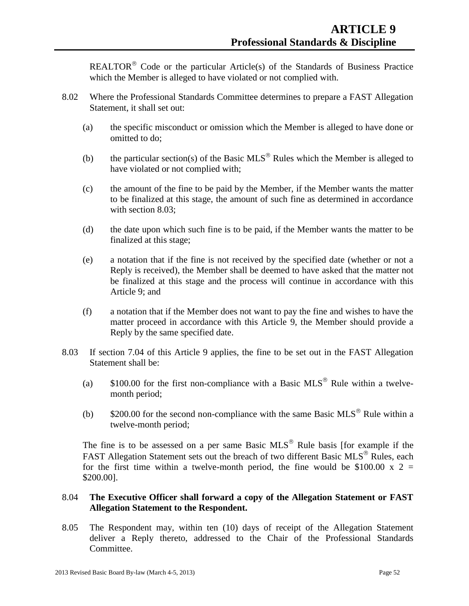REALTOR<sup>®</sup> Code or the particular Article(s) of the Standards of Business Practice which the Member is alleged to have violated or not complied with.

- 8.02 Where the Professional Standards Committee determines to prepare a FAST Allegation Statement, it shall set out:
	- (a) the specific misconduct or omission which the Member is alleged to have done or omitted to do;
	- (b) the particular section(s) of the Basic MLS<sup>®</sup> Rules which the Member is alleged to have violated or not complied with;
	- (c) the amount of the fine to be paid by the Member, if the Member wants the matter to be finalized at this stage, the amount of such fine as determined in accordance with section 8.03;
	- (d) the date upon which such fine is to be paid, if the Member wants the matter to be finalized at this stage;
	- (e) a notation that if the fine is not received by the specified date (whether or not a Reply is received), the Member shall be deemed to have asked that the matter not be finalized at this stage and the process will continue in accordance with this Article 9; and
	- (f) a notation that if the Member does not want to pay the fine and wishes to have the matter proceed in accordance with this Article 9, the Member should provide a Reply by the same specified date.
- 8.03 If section 7.04 of this Article 9 applies, the fine to be set out in the FAST Allegation Statement shall be:
	- (a)  $$100.00$  for the first non-compliance with a Basic MLS<sup>®</sup> Rule within a twelvemonth period;
	- (b)  $$200.00$  for the second non-compliance with the same Basic MLS<sup>®</sup> Rule within a twelve-month period;

The fine is to be assessed on a per same Basic  $MLS^{\circledR}$  Rule basis [for example if the FAST Allegation Statement sets out the breach of two different Basic MLS® Rules, each for the first time within a twelve-month period, the fine would be \$100.00 x  $2 =$ \$200.00].

## 8.04 **The Executive Officer shall forward a copy of the Allegation Statement or FAST Allegation Statement to the Respondent.**

8.05 The Respondent may, within ten (10) days of receipt of the Allegation Statement deliver a Reply thereto, addressed to the Chair of the Professional Standards Committee.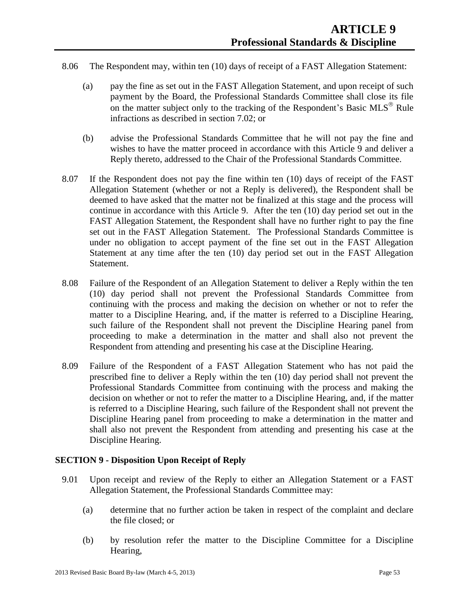- 8.06 The Respondent may, within ten (10) days of receipt of a FAST Allegation Statement:
	- (a) pay the fine as set out in the FAST Allegation Statement, and upon receipt of such payment by the Board, the Professional Standards Committee shall close its file on the matter subject only to the tracking of the Respondent's Basic  $MLS^{\circledcirc}$  Rule infractions as described in section 7.02; or
	- (b) advise the Professional Standards Committee that he will not pay the fine and wishes to have the matter proceed in accordance with this Article 9 and deliver a Reply thereto, addressed to the Chair of the Professional Standards Committee.
- 8.07 If the Respondent does not pay the fine within ten (10) days of receipt of the FAST Allegation Statement (whether or not a Reply is delivered), the Respondent shall be deemed to have asked that the matter not be finalized at this stage and the process will continue in accordance with this Article 9. After the ten (10) day period set out in the FAST Allegation Statement, the Respondent shall have no further right to pay the fine set out in the FAST Allegation Statement. The Professional Standards Committee is under no obligation to accept payment of the fine set out in the FAST Allegation Statement at any time after the ten (10) day period set out in the FAST Allegation Statement.
- 8.08 Failure of the Respondent of an Allegation Statement to deliver a Reply within the ten (10) day period shall not prevent the Professional Standards Committee from continuing with the process and making the decision on whether or not to refer the matter to a Discipline Hearing, and, if the matter is referred to a Discipline Hearing, such failure of the Respondent shall not prevent the Discipline Hearing panel from proceeding to make a determination in the matter and shall also not prevent the Respondent from attending and presenting his case at the Discipline Hearing.
- 8.09 Failure of the Respondent of a FAST Allegation Statement who has not paid the prescribed fine to deliver a Reply within the ten (10) day period shall not prevent the Professional Standards Committee from continuing with the process and making the decision on whether or not to refer the matter to a Discipline Hearing, and, if the matter is referred to a Discipline Hearing, such failure of the Respondent shall not prevent the Discipline Hearing panel from proceeding to make a determination in the matter and shall also not prevent the Respondent from attending and presenting his case at the Discipline Hearing.

## **SECTION 9 - Disposition Upon Receipt of Reply**

- 9.01 Upon receipt and review of the Reply to either an Allegation Statement or a FAST Allegation Statement, the Professional Standards Committee may:
	- (a) determine that no further action be taken in respect of the complaint and declare the file closed; or
	- (b) by resolution refer the matter to the Discipline Committee for a Discipline Hearing,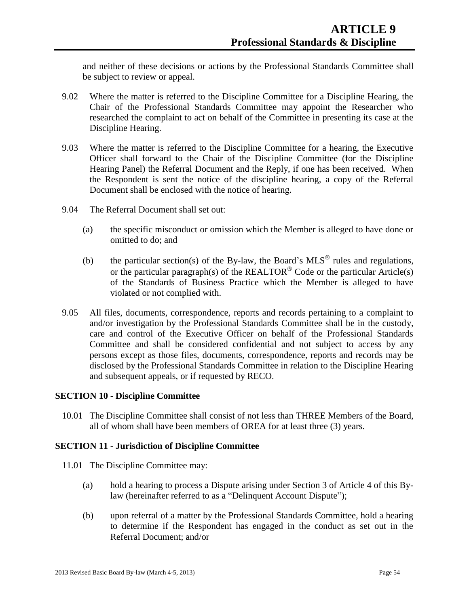and neither of these decisions or actions by the Professional Standards Committee shall be subject to review or appeal.

- 9.02 Where the matter is referred to the Discipline Committee for a Discipline Hearing, the Chair of the Professional Standards Committee may appoint the Researcher who researched the complaint to act on behalf of the Committee in presenting its case at the Discipline Hearing.
- 9.03 Where the matter is referred to the Discipline Committee for a hearing, the Executive Officer shall forward to the Chair of the Discipline Committee (for the Discipline Hearing Panel) the Referral Document and the Reply, if one has been received. When the Respondent is sent the notice of the discipline hearing, a copy of the Referral Document shall be enclosed with the notice of hearing.
- 9.04 The Referral Document shall set out:
	- (a) the specific misconduct or omission which the Member is alleged to have done or omitted to do; and
	- (b) the particular section(s) of the By-law, the Board's MLS<sup>®</sup> rules and regulations, or the particular paragraph(s) of the REALTOR<sup>®</sup> Code or the particular Article(s) of the Standards of Business Practice which the Member is alleged to have violated or not complied with.
- 9.05 All files, documents, correspondence, reports and records pertaining to a complaint to and/or investigation by the Professional Standards Committee shall be in the custody, care and control of the Executive Officer on behalf of the Professional Standards Committee and shall be considered confidential and not subject to access by any persons except as those files, documents, correspondence, reports and records may be disclosed by the Professional Standards Committee in relation to the Discipline Hearing and subsequent appeals, or if requested by RECO.

## **SECTION 10 - Discipline Committee**

10.01 The Discipline Committee shall consist of not less than THREE Members of the Board, all of whom shall have been members of OREA for at least three (3) years.

## **SECTION 11 - Jurisdiction of Discipline Committee**

- 11.01 The Discipline Committee may:
	- (a) hold a hearing to process a Dispute arising under Section 3 of Article 4 of this Bylaw (hereinafter referred to as a "Delinquent Account Dispute");
	- (b) upon referral of a matter by the Professional Standards Committee, hold a hearing to determine if the Respondent has engaged in the conduct as set out in the Referral Document; and/or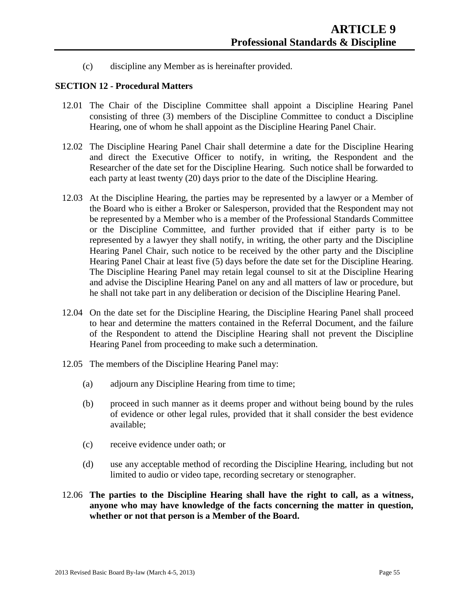(c) discipline any Member as is hereinafter provided.

## **SECTION 12 - Procedural Matters**

- 12.01 The Chair of the Discipline Committee shall appoint a Discipline Hearing Panel consisting of three (3) members of the Discipline Committee to conduct a Discipline Hearing, one of whom he shall appoint as the Discipline Hearing Panel Chair.
- 12.02 The Discipline Hearing Panel Chair shall determine a date for the Discipline Hearing and direct the Executive Officer to notify, in writing, the Respondent and the Researcher of the date set for the Discipline Hearing. Such notice shall be forwarded to each party at least twenty (20) days prior to the date of the Discipline Hearing.
- 12.03 At the Discipline Hearing, the parties may be represented by a lawyer or a Member of the Board who is either a Broker or Salesperson, provided that the Respondent may not be represented by a Member who is a member of the Professional Standards Committee or the Discipline Committee, and further provided that if either party is to be represented by a lawyer they shall notify, in writing, the other party and the Discipline Hearing Panel Chair, such notice to be received by the other party and the Discipline Hearing Panel Chair at least five (5) days before the date set for the Discipline Hearing. The Discipline Hearing Panel may retain legal counsel to sit at the Discipline Hearing and advise the Discipline Hearing Panel on any and all matters of law or procedure, but he shall not take part in any deliberation or decision of the Discipline Hearing Panel.
- 12.04 On the date set for the Discipline Hearing, the Discipline Hearing Panel shall proceed to hear and determine the matters contained in the Referral Document, and the failure of the Respondent to attend the Discipline Hearing shall not prevent the Discipline Hearing Panel from proceeding to make such a determination.
- 12.05 The members of the Discipline Hearing Panel may:
	- (a) adjourn any Discipline Hearing from time to time;
	- (b) proceed in such manner as it deems proper and without being bound by the rules of evidence or other legal rules, provided that it shall consider the best evidence available;
	- (c) receive evidence under oath; or
	- (d) use any acceptable method of recording the Discipline Hearing, including but not limited to audio or video tape, recording secretary or stenographer.
- 12.06 **The parties to the Discipline Hearing shall have the right to call, as a witness, anyone who may have knowledge of the facts concerning the matter in question, whether or not that person is a Member of the Board.**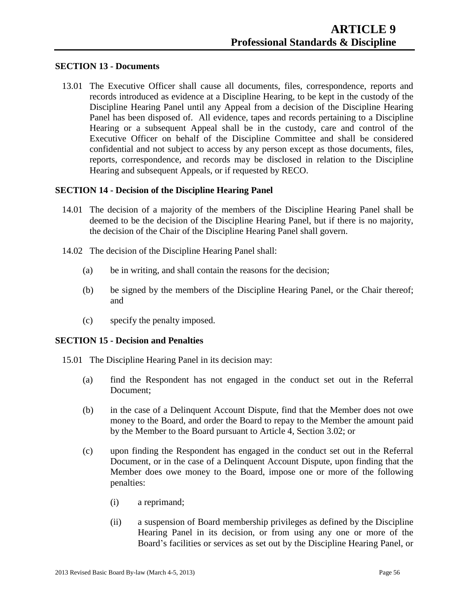### **SECTION 13 - Documents**

13.01 The Executive Officer shall cause all documents, files, correspondence, reports and records introduced as evidence at a Discipline Hearing, to be kept in the custody of the Discipline Hearing Panel until any Appeal from a decision of the Discipline Hearing Panel has been disposed of. All evidence, tapes and records pertaining to a Discipline Hearing or a subsequent Appeal shall be in the custody, care and control of the Executive Officer on behalf of the Discipline Committee and shall be considered confidential and not subject to access by any person except as those documents, files, reports, correspondence, and records may be disclosed in relation to the Discipline Hearing and subsequent Appeals, or if requested by RECO.

#### **SECTION 14 - Decision of the Discipline Hearing Panel**

- 14.01 The decision of a majority of the members of the Discipline Hearing Panel shall be deemed to be the decision of the Discipline Hearing Panel, but if there is no majority, the decision of the Chair of the Discipline Hearing Panel shall govern.
- 14.02 The decision of the Discipline Hearing Panel shall:
	- (a) be in writing, and shall contain the reasons for the decision;
	- (b) be signed by the members of the Discipline Hearing Panel, or the Chair thereof; and
	- (c) specify the penalty imposed.

#### **SECTION 15 - Decision and Penalties**

- 15.01 The Discipline Hearing Panel in its decision may:
	- (a) find the Respondent has not engaged in the conduct set out in the Referral Document;
	- (b) in the case of a Delinquent Account Dispute, find that the Member does not owe money to the Board, and order the Board to repay to the Member the amount paid by the Member to the Board pursuant to Article 4, Section 3.02; or
	- (c) upon finding the Respondent has engaged in the conduct set out in the Referral Document, or in the case of a Delinquent Account Dispute, upon finding that the Member does owe money to the Board, impose one or more of the following penalties:
		- (i) a reprimand;
		- (ii) a suspension of Board membership privileges as defined by the Discipline Hearing Panel in its decision, or from using any one or more of the Board's facilities or services as set out by the Discipline Hearing Panel, or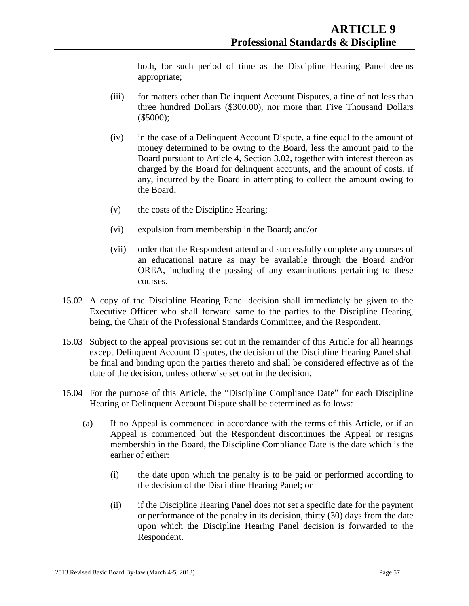both, for such period of time as the Discipline Hearing Panel deems appropriate;

- (iii) for matters other than Delinquent Account Disputes, a fine of not less than three hundred Dollars (\$300.00), nor more than Five Thousand Dollars (\$5000);
- (iv) in the case of a Delinquent Account Dispute, a fine equal to the amount of money determined to be owing to the Board, less the amount paid to the Board pursuant to Article 4, Section 3.02, together with interest thereon as charged by the Board for delinquent accounts, and the amount of costs, if any, incurred by the Board in attempting to collect the amount owing to the Board;
- (v) the costs of the Discipline Hearing;
- (vi) expulsion from membership in the Board; and/or
- (vii) order that the Respondent attend and successfully complete any courses of an educational nature as may be available through the Board and/or OREA, including the passing of any examinations pertaining to these courses.
- 15.02 A copy of the Discipline Hearing Panel decision shall immediately be given to the Executive Officer who shall forward same to the parties to the Discipline Hearing, being, the Chair of the Professional Standards Committee, and the Respondent.
- 15.03 Subject to the appeal provisions set out in the remainder of this Article for all hearings except Delinquent Account Disputes, the decision of the Discipline Hearing Panel shall be final and binding upon the parties thereto and shall be considered effective as of the date of the decision, unless otherwise set out in the decision.
- 15.04 For the purpose of this Article, the "Discipline Compliance Date" for each Discipline Hearing or Delinquent Account Dispute shall be determined as follows:
	- (a) If no Appeal is commenced in accordance with the terms of this Article, or if an Appeal is commenced but the Respondent discontinues the Appeal or resigns membership in the Board, the Discipline Compliance Date is the date which is the earlier of either:
		- (i) the date upon which the penalty is to be paid or performed according to the decision of the Discipline Hearing Panel; or
		- (ii) if the Discipline Hearing Panel does not set a specific date for the payment or performance of the penalty in its decision, thirty (30) days from the date upon which the Discipline Hearing Panel decision is forwarded to the Respondent.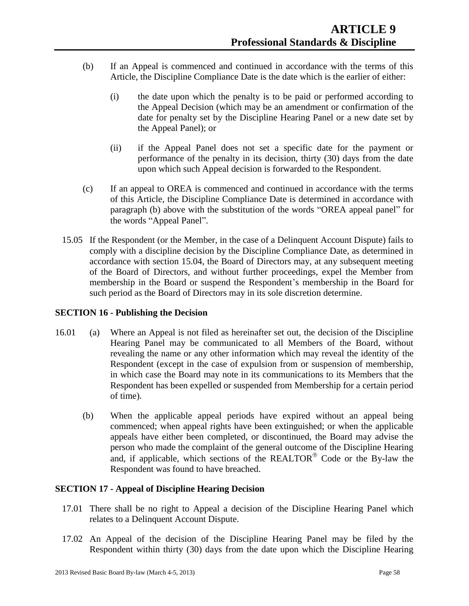- (b) If an Appeal is commenced and continued in accordance with the terms of this Article, the Discipline Compliance Date is the date which is the earlier of either:
	- (i) the date upon which the penalty is to be paid or performed according to the Appeal Decision (which may be an amendment or confirmation of the date for penalty set by the Discipline Hearing Panel or a new date set by the Appeal Panel); or
	- (ii) if the Appeal Panel does not set a specific date for the payment or performance of the penalty in its decision, thirty (30) days from the date upon which such Appeal decision is forwarded to the Respondent.
- (c) If an appeal to OREA is commenced and continued in accordance with the terms of this Article, the Discipline Compliance Date is determined in accordance with paragraph (b) above with the substitution of the words "OREA appeal panel" for the words "Appeal Panel".
- 15.05 If the Respondent (or the Member, in the case of a Delinquent Account Dispute) fails to comply with a discipline decision by the Discipline Compliance Date, as determined in accordance with section 15.04, the Board of Directors may, at any subsequent meeting of the Board of Directors, and without further proceedings, expel the Member from membership in the Board or suspend the Respondent's membership in the Board for such period as the Board of Directors may in its sole discretion determine.

## **SECTION 16 - Publishing the Decision**

- 16.01 (a) Where an Appeal is not filed as hereinafter set out, the decision of the Discipline Hearing Panel may be communicated to all Members of the Board, without revealing the name or any other information which may reveal the identity of the Respondent (except in the case of expulsion from or suspension of membership, in which case the Board may note in its communications to its Members that the Respondent has been expelled or suspended from Membership for a certain period of time).
	- (b) When the applicable appeal periods have expired without an appeal being commenced; when appeal rights have been extinguished; or when the applicable appeals have either been completed, or discontinued, the Board may advise the person who made the complaint of the general outcome of the Discipline Hearing and, if applicable, which sections of the REALTOR $^{\circ}$  Code or the By-law the Respondent was found to have breached.

## **SECTION 17 - Appeal of Discipline Hearing Decision**

- 17.01 There shall be no right to Appeal a decision of the Discipline Hearing Panel which relates to a Delinquent Account Dispute.
- 17.02 An Appeal of the decision of the Discipline Hearing Panel may be filed by the Respondent within thirty (30) days from the date upon which the Discipline Hearing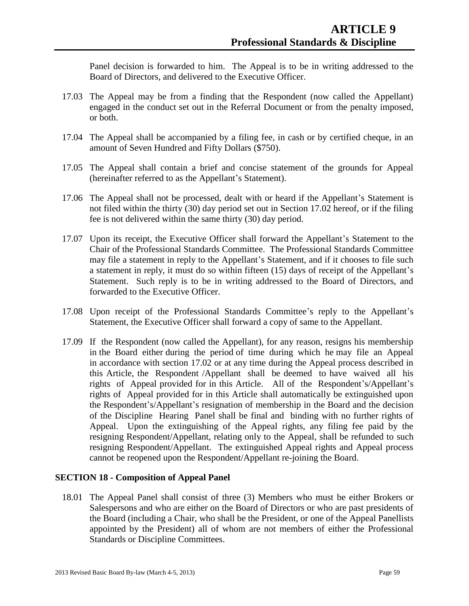Panel decision is forwarded to him. The Appeal is to be in writing addressed to the Board of Directors, and delivered to the Executive Officer.

- 17.03 The Appeal may be from a finding that the Respondent (now called the Appellant) engaged in the conduct set out in the Referral Document or from the penalty imposed, or both.
- 17.04 The Appeal shall be accompanied by a filing fee, in cash or by certified cheque, in an amount of Seven Hundred and Fifty Dollars (\$750).
- 17.05 The Appeal shall contain a brief and concise statement of the grounds for Appeal (hereinafter referred to as the Appellant's Statement).
- 17.06 The Appeal shall not be processed, dealt with or heard if the Appellant's Statement is not filed within the thirty (30) day period set out in Section 17.02 hereof, or if the filing fee is not delivered within the same thirty (30) day period.
- 17.07 Upon its receipt, the Executive Officer shall forward the Appellant's Statement to the Chair of the Professional Standards Committee. The Professional Standards Committee may file a statement in reply to the Appellant's Statement, and if it chooses to file such a statement in reply, it must do so within fifteen (15) days of receipt of the Appellant's Statement. Such reply is to be in writing addressed to the Board of Directors, and forwarded to the Executive Officer.
- 17.08 Upon receipt of the Professional Standards Committee's reply to the Appellant's Statement, the Executive Officer shall forward a copy of same to the Appellant.
- 17.09 If the Respondent (now called the Appellant), for any reason, resigns his membership in the Board either during the period of time during which he may file an Appeal in accordance with section 17.02 or at any time during the Appeal process described in this Article, the Respondent /Appellant shall be deemed to have waived all his rights of Appeal provided for in this Article. All of the Respondent's/Appellant's rights of Appeal provided for in this Article shall automatically be extinguished upon the Respondent's/Appellant's resignation of membership in the Board and the decision of the Discipline Hearing Panel shall be final and binding with no further rights of Appeal. Upon the extinguishing of the Appeal rights, any filing fee paid by the resigning Respondent/Appellant, relating only to the Appeal, shall be refunded to such resigning Respondent/Appellant. The extinguished Appeal rights and Appeal process cannot be reopened upon the Respondent/Appellant re-joining the Board.

## **SECTION 18 - Composition of Appeal Panel**

18.01 The Appeal Panel shall consist of three (3) Members who must be either Brokers or Salespersons and who are either on the Board of Directors or who are past presidents of the Board (including a Chair, who shall be the President, or one of the Appeal Panellists appointed by the President) all of whom are not members of either the Professional Standards or Discipline Committees.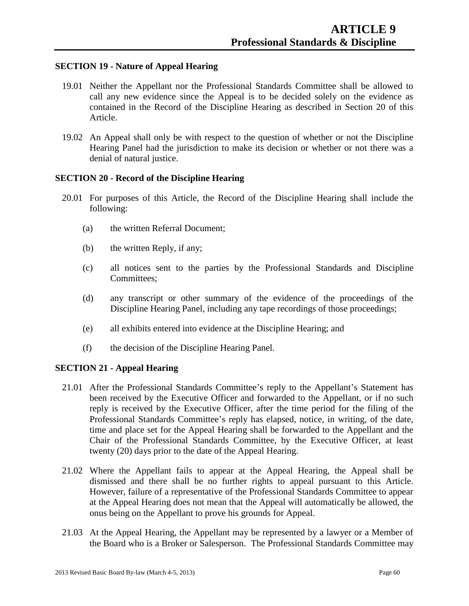## **SECTION 19 - Nature of Appeal Hearing**

- 19.01 Neither the Appellant nor the Professional Standards Committee shall be allowed to call any new evidence since the Appeal is to be decided solely on the evidence as contained in the Record of the Discipline Hearing as described in Section 20 of this Article.
- 19.02 An Appeal shall only be with respect to the question of whether or not the Discipline Hearing Panel had the jurisdiction to make its decision or whether or not there was a denial of natural justice.

### **SECTION 20 - Record of the Discipline Hearing**

- 20.01 For purposes of this Article, the Record of the Discipline Hearing shall include the following:
	- (a) the written Referral Document;
	- (b) the written Reply, if any;
	- (c) all notices sent to the parties by the Professional Standards and Discipline Committees;
	- (d) any transcript or other summary of the evidence of the proceedings of the Discipline Hearing Panel, including any tape recordings of those proceedings;
	- (e) all exhibits entered into evidence at the Discipline Hearing; and
	- (f) the decision of the Discipline Hearing Panel.

## **SECTION 21 - Appeal Hearing**

- 21.01 After the Professional Standards Committee's reply to the Appellant's Statement has been received by the Executive Officer and forwarded to the Appellant, or if no such reply is received by the Executive Officer, after the time period for the filing of the Professional Standards Committee's reply has elapsed, notice, in writing, of the date, time and place set for the Appeal Hearing shall be forwarded to the Appellant and the Chair of the Professional Standards Committee, by the Executive Officer, at least twenty (20) days prior to the date of the Appeal Hearing.
- 21.02 Where the Appellant fails to appear at the Appeal Hearing, the Appeal shall be dismissed and there shall be no further rights to appeal pursuant to this Article. However, failure of a representative of the Professional Standards Committee to appear at the Appeal Hearing does not mean that the Appeal will automatically be allowed, the onus being on the Appellant to prove his grounds for Appeal.
- 21.03 At the Appeal Hearing, the Appellant may be represented by a lawyer or a Member of the Board who is a Broker or Salesperson. The Professional Standards Committee may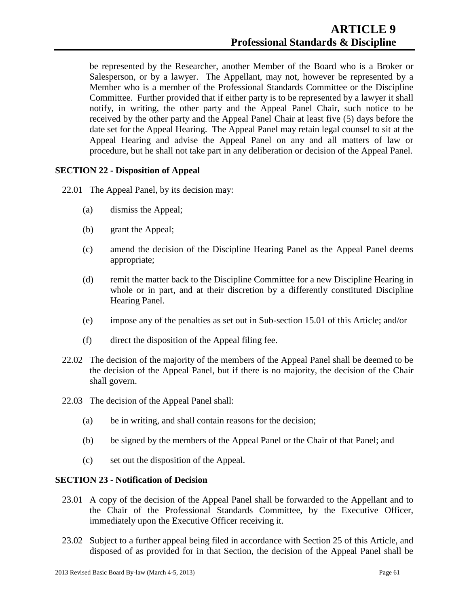be represented by the Researcher, another Member of the Board who is a Broker or Salesperson, or by a lawyer. The Appellant, may not, however be represented by a Member who is a member of the Professional Standards Committee or the Discipline Committee. Further provided that if either party is to be represented by a lawyer it shall notify, in writing, the other party and the Appeal Panel Chair, such notice to be received by the other party and the Appeal Panel Chair at least five (5) days before the date set for the Appeal Hearing. The Appeal Panel may retain legal counsel to sit at the Appeal Hearing and advise the Appeal Panel on any and all matters of law or procedure, but he shall not take part in any deliberation or decision of the Appeal Panel.

## **SECTION 22 - Disposition of Appeal**

22.01 The Appeal Panel, by its decision may:

- (a) dismiss the Appeal;
- (b) grant the Appeal;
- (c) amend the decision of the Discipline Hearing Panel as the Appeal Panel deems appropriate;
- (d) remit the matter back to the Discipline Committee for a new Discipline Hearing in whole or in part, and at their discretion by a differently constituted Discipline Hearing Panel.
- (e) impose any of the penalties as set out in Sub-section 15.01 of this Article; and/or
- (f) direct the disposition of the Appeal filing fee.
- 22.02 The decision of the majority of the members of the Appeal Panel shall be deemed to be the decision of the Appeal Panel, but if there is no majority, the decision of the Chair shall govern.
- 22.03 The decision of the Appeal Panel shall:
	- (a) be in writing, and shall contain reasons for the decision;
	- (b) be signed by the members of the Appeal Panel or the Chair of that Panel; and
	- (c) set out the disposition of the Appeal.

# **SECTION 23 - Notification of Decision**

- 23.01 A copy of the decision of the Appeal Panel shall be forwarded to the Appellant and to the Chair of the Professional Standards Committee, by the Executive Officer, immediately upon the Executive Officer receiving it.
- 23.02 Subject to a further appeal being filed in accordance with Section 25 of this Article, and disposed of as provided for in that Section, the decision of the Appeal Panel shall be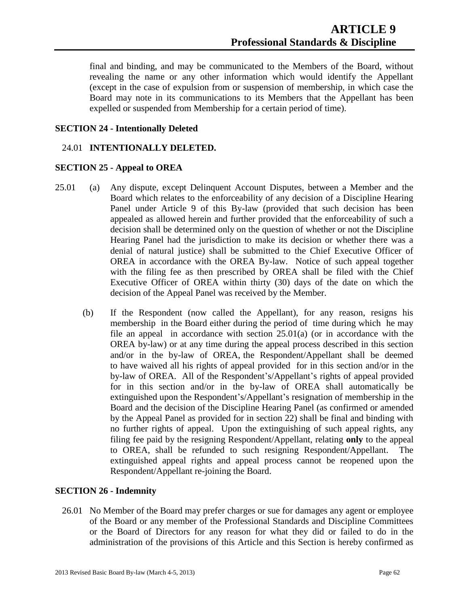final and binding, and may be communicated to the Members of the Board, without revealing the name or any other information which would identify the Appellant (except in the case of expulsion from or suspension of membership, in which case the Board may note in its communications to its Members that the Appellant has been expelled or suspended from Membership for a certain period of time).

## **SECTION 24 - Intentionally Deleted**

## 24.01 **INTENTIONALLY DELETED.**

## **SECTION 25 - Appeal to OREA**

- 25.01 (a) Any dispute, except Delinquent Account Disputes, between a Member and the Board which relates to the enforceability of any decision of a Discipline Hearing Panel under Article 9 of this By-law (provided that such decision has been appealed as allowed herein and further provided that the enforceability of such a decision shall be determined only on the question of whether or not the Discipline Hearing Panel had the jurisdiction to make its decision or whether there was a denial of natural justice) shall be submitted to the Chief Executive Officer of OREA in accordance with the OREA By-law. Notice of such appeal together with the filing fee as then prescribed by OREA shall be filed with the Chief Executive Officer of OREA within thirty (30) days of the date on which the decision of the Appeal Panel was received by the Member.
	- (b) If the Respondent (now called the Appellant), for any reason, resigns his membership in the Board either during the period of time during which he may file an appeal in accordance with section 25.01(a) (or in accordance with the OREA by-law) or at any time during the appeal process described in this section and/or in the by-law of OREA, the Respondent/Appellant shall be deemed to have waived all his rights of appeal provided for in this section and/or in the by-law of OREA. All of the Respondent's/Appellant's rights of appeal provided for in this section and/or in the by-law of OREA shall automatically be extinguished upon the Respondent's/Appellant's resignation of membership in the Board and the decision of the Discipline Hearing Panel (as confirmed or amended by the Appeal Panel as provided for in section 22) shall be final and binding with no further rights of appeal. Upon the extinguishing of such appeal rights, any filing fee paid by the resigning Respondent/Appellant, relating **only** to the appeal to OREA, shall be refunded to such resigning Respondent/Appellant. The extinguished appeal rights and appeal process cannot be reopened upon the Respondent/Appellant re-joining the Board.

## **SECTION 26 - Indemnity**

26.01 No Member of the Board may prefer charges or sue for damages any agent or employee of the Board or any member of the Professional Standards and Discipline Committees or the Board of Directors for any reason for what they did or failed to do in the administration of the provisions of this Article and this Section is hereby confirmed as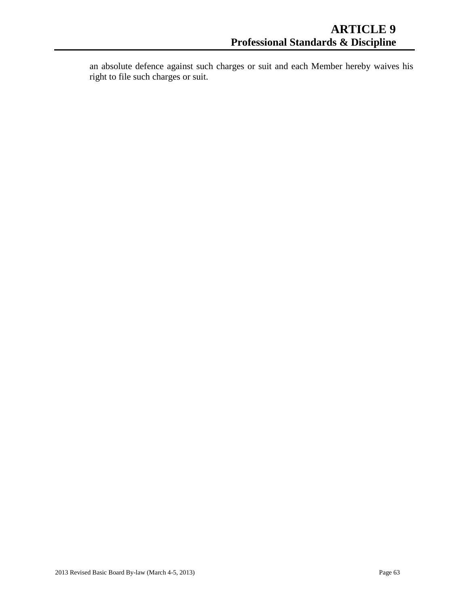an absolute defence against such charges or suit and each Member hereby waives his right to file such charges or suit.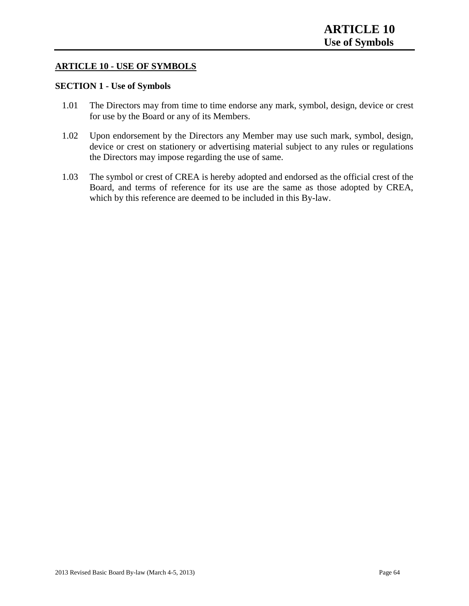## **ARTICLE 10 - USE OF SYMBOLS**

# **SECTION 1 - Use of Symbols**

- 1.01 The Directors may from time to time endorse any mark, symbol, design, device or crest for use by the Board or any of its Members.
- 1.02 Upon endorsement by the Directors any Member may use such mark, symbol, design, device or crest on stationery or advertising material subject to any rules or regulations the Directors may impose regarding the use of same.
- 1.03 The symbol or crest of CREA is hereby adopted and endorsed as the official crest of the Board, and terms of reference for its use are the same as those adopted by CREA, which by this reference are deemed to be included in this By-law.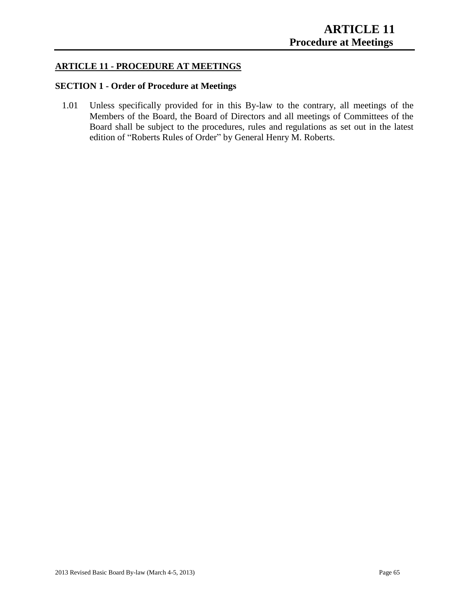## **ARTICLE 11 - PROCEDURE AT MEETINGS**

# **SECTION 1 - Order of Procedure at Meetings**

1.01 Unless specifically provided for in this By-law to the contrary, all meetings of the Members of the Board, the Board of Directors and all meetings of Committees of the Board shall be subject to the procedures, rules and regulations as set out in the latest edition of "Roberts Rules of Order" by General Henry M. Roberts.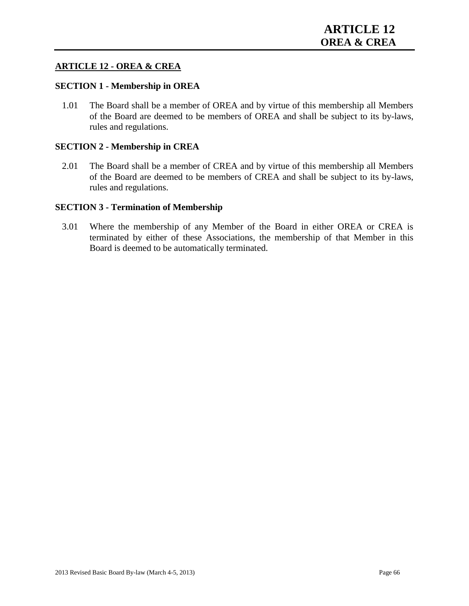## **ARTICLE 12 - OREA & CREA**

### **SECTION 1 - Membership in OREA**

1.01 The Board shall be a member of OREA and by virtue of this membership all Members of the Board are deemed to be members of OREA and shall be subject to its by-laws, rules and regulations.

### **SECTION 2 - Membership in CREA**

2.01 The Board shall be a member of CREA and by virtue of this membership all Members of the Board are deemed to be members of CREA and shall be subject to its by-laws, rules and regulations.

### **SECTION 3 - Termination of Membership**

3.01 Where the membership of any Member of the Board in either OREA or CREA is terminated by either of these Associations, the membership of that Member in this Board is deemed to be automatically terminated.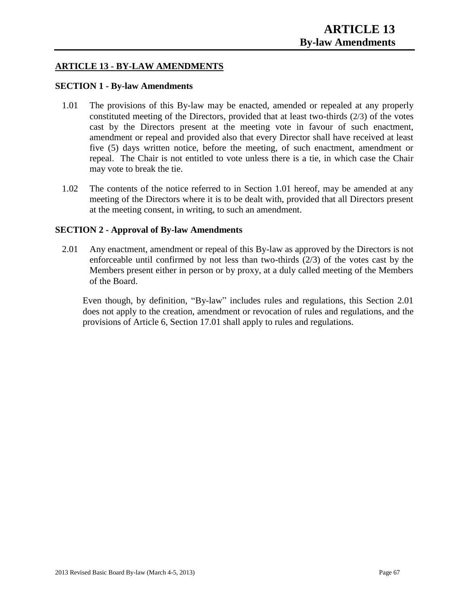# **ARTICLE 13 - BY-LAW AMENDMENTS**

### **SECTION 1 - By-law Amendments**

- 1.01 The provisions of this By-law may be enacted, amended or repealed at any properly constituted meeting of the Directors, provided that at least two-thirds (2/3) of the votes cast by the Directors present at the meeting vote in favour of such enactment, amendment or repeal and provided also that every Director shall have received at least five (5) days written notice, before the meeting, of such enactment, amendment or repeal. The Chair is not entitled to vote unless there is a tie, in which case the Chair may vote to break the tie.
- 1.02 The contents of the notice referred to in Section 1.01 hereof, may be amended at any meeting of the Directors where it is to be dealt with, provided that all Directors present at the meeting consent, in writing, to such an amendment.

### **SECTION 2 - Approval of By-law Amendments**

2.01 Any enactment, amendment or repeal of this By-law as approved by the Directors is not enforceable until confirmed by not less than two-thirds (2/3) of the votes cast by the Members present either in person or by proxy, at a duly called meeting of the Members of the Board.

Even though, by definition, "By-law" includes rules and regulations, this Section 2.01 does not apply to the creation, amendment or revocation of rules and regulations, and the provisions of Article 6, Section 17.01 shall apply to rules and regulations.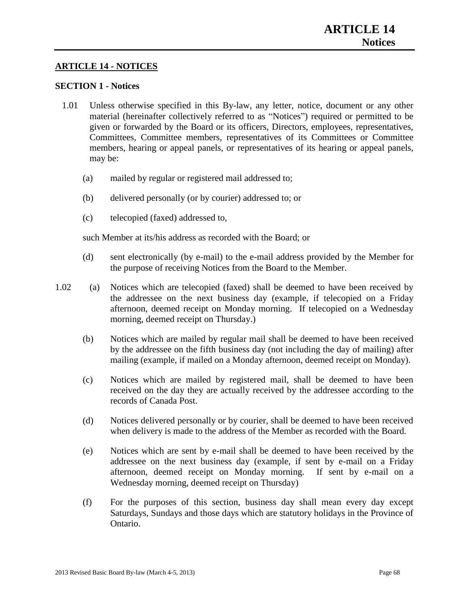## **ARTICLE 14 - NOTICES**

## **SECTION 1 - Notices**

- 1.01 Unless otherwise specified in this By-law, any letter, notice, document or any other material (hereinafter collectively referred to as "Notices") required or permitted to be given or forwarded by the Board or its officers, Directors, employees, representatives, Committees, Committee members, representatives of its Committees or Committee members, hearing or appeal panels, or representatives of its hearing or appeal panels, may be:
	- (a) mailed by regular or registered mail addressed to;
	- (b) delivered personally (or by courier) addressed to; or
	- (c) telecopied (faxed) addressed to,

such Member at its/his address as recorded with the Board; or

- (d) sent electronically (by e-mail) to the e-mail address provided by the Member for the purpose of receiving Notices from the Board to the Member.
- 1.02 (a) Notices which are telecopied (faxed) shall be deemed to have been received by the addressee on the next business day (example, if telecopied on a Friday afternoon, deemed receipt on Monday morning. If telecopied on a Wednesday morning, deemed receipt on Thursday.)
	- (b) Notices which are mailed by regular mail shall be deemed to have been received by the addressee on the fifth business day (not including the day of mailing) after mailing (example, if mailed on a Monday afternoon, deemed receipt on Monday).
	- (c) Notices which are mailed by registered mail, shall be deemed to have been received on the day they are actually received by the addressee according to the records of Canada Post.
	- (d) Notices delivered personally or by courier, shall be deemed to have been received when delivery is made to the address of the Member as recorded with the Board.
	- (e) Notices which are sent by e-mail shall be deemed to have been received by the addressee on the next business day (example, if sent by e-mail on a Friday afternoon, deemed receipt on Monday morning. If sent by e-mail on a Wednesday morning, deemed receipt on Thursday)
	- (f) For the purposes of this section, business day shall mean every day except Saturdays, Sundays and those days which are statutory holidays in the Province of Ontario.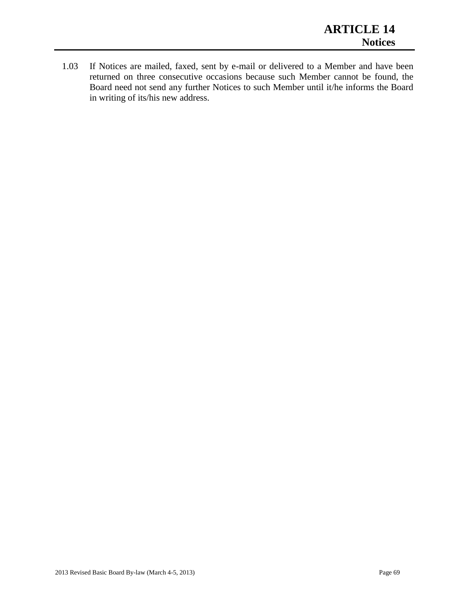1.03 If Notices are mailed, faxed, sent by e-mail or delivered to a Member and have been returned on three consecutive occasions because such Member cannot be found, the Board need not send any further Notices to such Member until it/he informs the Board in writing of its/his new address.